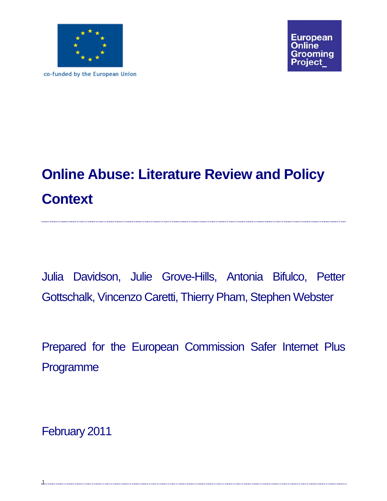

co-funded by the European Union

**European** Online irooming oiect

# **Online Abuse: Literature Review and Policy Context**

Julia Davidson, Julie Grove-Hills, Antonia Bifulco, Petter Gottschalk, Vincenzo Caretti, Thierry Pham, Stephen Webster

Prepared for the European Commission Safer Internet Plus Programme

February 2011

1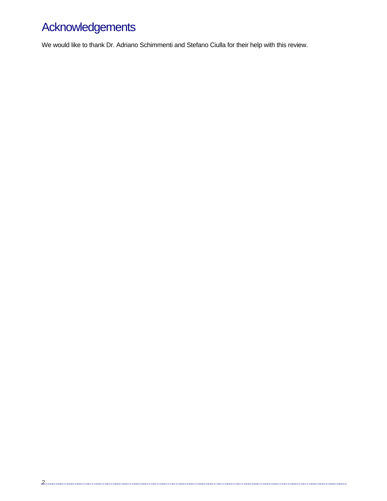# Acknowledgements

We would like to thank Dr. Adriano Schimmenti and Stefano Ciulla for their help with this review.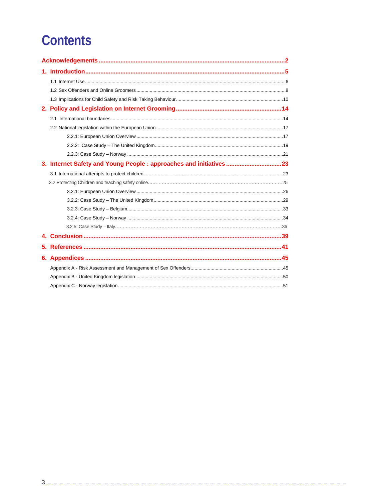# **Contents**

|    | 3. Internet Safety and Young People : approaches and initiatives 23 |  |  |  |  |  |  |
|----|---------------------------------------------------------------------|--|--|--|--|--|--|
|    |                                                                     |  |  |  |  |  |  |
|    |                                                                     |  |  |  |  |  |  |
|    |                                                                     |  |  |  |  |  |  |
|    |                                                                     |  |  |  |  |  |  |
|    |                                                                     |  |  |  |  |  |  |
|    |                                                                     |  |  |  |  |  |  |
|    |                                                                     |  |  |  |  |  |  |
|    |                                                                     |  |  |  |  |  |  |
| 5. |                                                                     |  |  |  |  |  |  |
|    |                                                                     |  |  |  |  |  |  |
|    |                                                                     |  |  |  |  |  |  |
|    |                                                                     |  |  |  |  |  |  |
|    |                                                                     |  |  |  |  |  |  |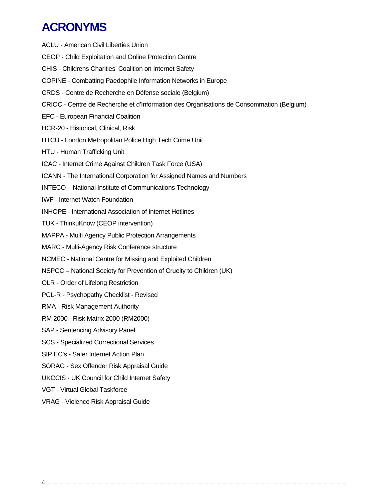# **ACRONYMS**

- ACLU American Civil Liberties Union CEOP - Child Exploitation and Online Protection Centre CHIS - Childrens Charities' Coalition on Internet Safety COPINE - Combatting Paedophile Information Networks in Europe CRDS *-* Centre de Recherche en Défense sociale (Belgium) CRIOC - Centre de Recherche et d'Information des Organisations de Consommation (Belgium) EFC - European Financial Coalition HCR-20 - Historical, Clinical, Risk HTCU - London Metropolitan Police High Tech Crime Unit HTU - Human Trafficking Unit ICAC - Internet Crime Against Children Task Force (USA) ICANN - The International Corporation for Assigned Names and Numbers INTECO – National Institute of Communications Technology IWF - Internet Watch Foundation INHOPE - International Association of Internet Hotlines TUK - ThinkuKnow (CEOP intervention) MAPPA - Multi Agency Public Protection Arrangements MARC - Multi-Agency Risk Conference structure NCMEC - National Centre for Missing and Exploited Children NSPCC – National Society for Prevention of Cruelty to Children (UK) OLR - Order of Lifelong Restriction PCL-R - Psychopathy Checklist - Revised RMA - Risk Management Authority RM 2000 - Risk Matrix 2000 (RM2000) SAP - Sentencing Advisory Panel SCS - Specialized Correctional Services SIP EC's - Safer Internet Action Plan SORAG - Sex Offender Risk Appraisal Guide UKCCIS - UK Council for Child Internet Safety VGT - Virtual Global Taskforce
- VRAG Violence Risk Appraisal Guide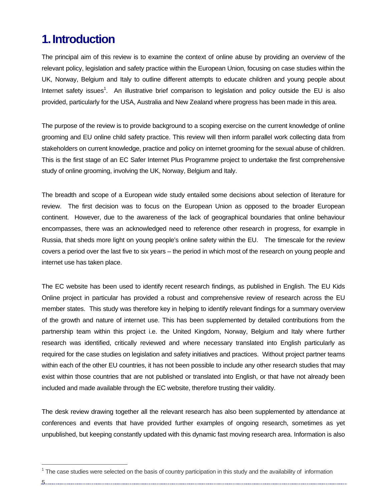## **1. Introduction**

The principal aim of this review is to examine the context of online abuse by providing an overview of the relevant policy, legislation and safety practice within the European Union, focusing on case studies within the UK, Norway, Belgium and Italy to outline different attempts to educate children and young people about Internet safety issues<sup>1</sup>. An illustrative brief comparison to legislation and policy outside the EU is also provided, particularly for the USA, Australia and New Zealand where progress has been made in this area.

The purpose of the review is to provide background to a scoping exercise on the current knowledge of online grooming and EU online child safety practice. This review will then inform parallel work collecting data from stakeholders on current knowledge, practice and policy on internet grooming for the sexual abuse of children. This is the first stage of an EC Safer Internet Plus Programme project to undertake the first comprehensive study of online grooming, involving the UK, Norway, Belgium and Italy.

The breadth and scope of a European wide study entailed some decisions about selection of literature for review. The first decision was to focus on the European Union as opposed to the broader European continent. However, due to the awareness of the lack of geographical boundaries that online behaviour encompasses, there was an acknowledged need to reference other research in progress, for example in Russia, that sheds more light on young people's online safety within the EU. The timescale for the review covers a period over the last five to six years – the period in which most of the research on young people and internet use has taken place.

The EC website has been used to identify recent research findings, as published in English. The EU Kids Online project in particular has provided a robust and comprehensive review of research across the EU member states. This study was therefore key in helping to identify relevant findings for a summary overview of the growth and nature of internet use. This has been supplemented by detailed contributions from the partnership team within this project i.e. the United Kingdom, Norway, Belgium and Italy where further research was identified, critically reviewed and where necessary translated into English particularly as required for the case studies on legislation and safety initiatives and practices. Without project partner teams within each of the other EU countries, it has not been possible to include any other research studies that may exist within those countries that are not published or translated into English, or that have not already been included and made available through the EC website, therefore trusting their validity.

The desk review drawing together all the relevant research has also been supplemented by attendance at conferences and events that have provided further examples of ongoing research, sometimes as yet unpublished, but keeping constantly updated with this dynamic fast moving research area. Information is also

5

 $1$  The case studies were selected on the basis of country participation in this study and the availability of information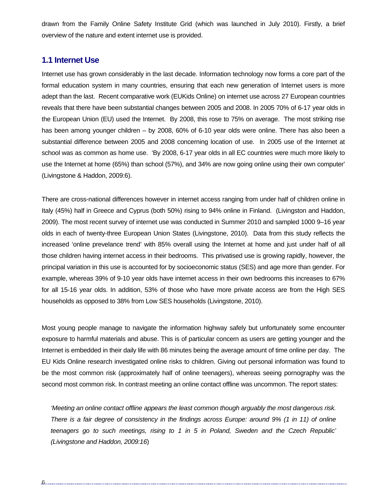drawn from the Family Online Safety Institute Grid (which was launched in July 2010). Firstly, a brief overview of the nature and extent internet use is provided.

## **1.1 Internet Use**

Internet use has grown considerably in the last decade. Information technology now forms a core part of the formal education system in many countries, ensuring that each new generation of Internet users is more adept than the last. Recent comparative work (EUKids Online) on internet use across 27 European countries reveals that there have been substantial changes between 2005 and 2008. In 2005 70% of 6-17 year olds in the European Union (EU) used the Internet. By 2008, this rose to 75% on average. The most striking rise has been among younger children – by 2008, 60% of 6-10 year olds were online. There has also been a substantial difference between 2005 and 2008 concerning location of use. In 2005 use of the Internet at school was as common as home use. 'By 2008, 6-17 year olds in all EC countries were much more likely to use the Internet at home (65%) than school (57%), and 34% are now going online using their own computer' (Livingstone & Haddon, 2009:6).

There are cross-national differences however in internet access ranging from under half of children online in Italy (45%) half in Greece and Cyprus (both 50%) rising to 94% online in Finland. (Livingston and Haddon, 2009). The most recent survey of internet use was conducted in Summer 2010 and sampled 1000 9–16 year olds in each of twenty-three European Union States (Livingstone, 2010). Data from this study reflects the increased 'online prevelance trend' with 85% overall using the Internet at home and just under half of all those children having internet access in their bedrooms. This privatised use is growing rapidly, however, the principal variation in this use is accounted for by socioeconomic status (SES) and age more than gender. For example, whereas 39% of 9-10 year olds have internet access in their own bedrooms this increases to 67% for all 15-16 year olds. In addition, 53% of those who have more private access are from the High SES households as opposed to 38% from Low SES households (Livingstone, 2010).

Most young people manage to navigate the information highway safely but unfortunately some encounter exposure to harmful materials and abuse. This is of particular concern as users are getting younger and the Internet is embedded in their daily life with 86 minutes being the average amount of time online per day. The EU Kids Online research investigated online risks to children. Giving out personal information was found to be the most common risk (approximately half of online teenagers), whereas seeing pornography was the second most common risk. In contrast meeting an online contact offline was uncommon. The report states:

*'Meeting an online contact offline appears the least common though arguably the most dangerous risk. There is a fair degree of consistency in the findings across Europe: around 9% (1 in 11) of online teenagers go to such meetings, rising to 1 in 5 in Poland, Sweden and the Czech Republic' (Livingstone and Haddon, 2009:16*)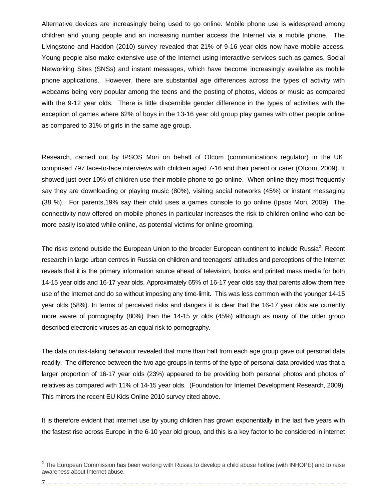Alternative devices are increasingly being used to go online. Mobile phone use is widespread among children and young people and an increasing number access the Internet via a mobile phone. The Livingstone and Haddon (2010) survey revealed that 21% of 9-16 year olds now have mobile access. Young people also make extensive use of the Internet using interactive services such as games, Social Networking Sites (SNSs) and instant messages, which have become increasingly available as mobile phone applications. However, there are substantial age differences across the types of activity with webcams being very popular among the teens and the posting of photos, videos or music as compared with the 9-12 year olds. There is little discernible gender difference in the types of activities with the exception of games where 62% of boys in the 13-16 year old group play games with other people online as compared to 31% of girls in the same age group.

Research, carried out by IPSOS Mori on behalf of Ofcom (communications regulator) in the UK, comprised 797 face-to-face interviews with children aged 7-16 and their parent or carer (Ofcom, 2009). It showed just over 10% of children use their mobile phone to go online. When online they most frequently say they are downloading or playing music (80%), visiting social networks (45%) or instant messaging (38 %). For parents,19% say their child uses a games console to go online (Ipsos Mori, 2009) The connectivity now offered on mobile phones in particular increases the risk to children online who can be more easily isolated while online, as potential victims for online grooming.

The risks extend outside the European Union to the broader European continent to include Russia<sup>2</sup>. Recent research in large urban centres in Russia on children and teenagers' attitudes and perceptions of the Internet reveals that it is the primary information source ahead of television, books and printed mass media for both 14-15 year olds and 16-17 year olds. Approximately 65% of 16-17 year olds say that parents allow them free use of the Internet and do so without imposing any time-limit. This was less common with the younger 14-15 year olds (58%). In terms of perceived risks and dangers it is clear that the 16-17 year olds are currently more aware of pornography (80%) than the 14-15 yr olds (45%) although as many of the older group described electronic viruses as an equal risk to pornography.

The data on risk-taking behaviour revealed that more than half from each age group gave out personal data readily. The difference between the two age groups in terms of the type of personal data provided was that a larger proportion of 16-17 year olds (23%) appeared to be providing both personal photos and photos of relatives as compared with 11% of 14-15 year olds. (Foundation for Internet Development Research, 2009). This mirrors the recent EU Kids Online 2010 survey cited above.

It is therefore evident that internet use by young children has grown exponentially in the last five years with the fastest rise across Europe in the 6-10 year old group, and this is a key factor to be considered in internet

7

 $2$  The European Commission has been working with Russia to develop a child abuse hotline (with INHOPE) and to raise awareness about Internet abuse.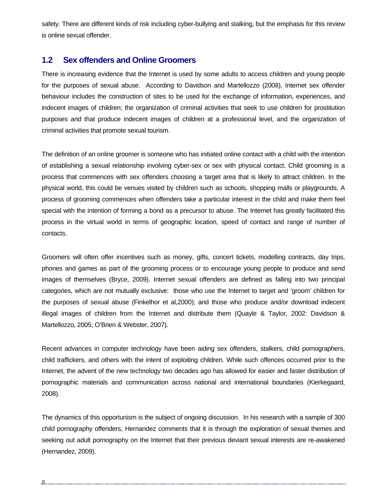safety. There are different kinds of risk including cyber-bullying and stalking, but the emphasis for this review is online sexual offender.

## **1.2 Sex offenders and Online Groomers**

There is increasing evidence that the Internet is used by some adults to access children and young people for the purposes of sexual abuse. According to Davidson and Martellozzo (2008), Internet sex offender behaviour includes the construction of sites to be used for the exchange of information, experiences, and indecent images of children; the organization of criminal activities that seek to use children for prostitution purposes and that produce indecent images of children at a professional level, and the organization of criminal activities that promote sexual tourism.

The definition of an online groomer is someone who has initiated online contact with a child with the intention of establishing a sexual relationship involving cyber-sex or sex with physical contact. Child grooming is a process that commences with sex offenders choosing a target area that is likely to attract children. In the physical world, this could be venues visited by children such as schools, shopping malls or playgrounds. A process of grooming commences when offenders take a particular interest in the child and make them feel special with the intention of forming a bond as a precursor to abuse. The Internet has greatly facilitated this process in the virtual world in terms of geographic location, speed of contact and range of number of contacts.

Groomers will often offer incentives such as money, gifts, concert tickets, modelling contracts, day trips, phones and games as part of the grooming process or to encourage young people to produce and send images of themselves (Bryce, 2009). Internet sexual offenders are defined as falling into two principal categories, which are not mutually exclusive: those who use the Internet to target and 'groom' children for the purposes of sexual abuse (Finkelhor et al,2000); and those who produce and/or download indecent illegal images of children from the Internet and distribute them (Quayle & Taylor, 2002: Davidson & Martellozzo, 2005; O'Brien & Webster, 2007).

Recent advances in computer technology have been aiding sex offenders, stalkers, child pornographers, child traffickers, and others with the intent of exploiting children. While such offences occurred prior to the Internet, the advent of the new technology two decades ago has allowed for easier and faster distribution of pornographic materials and communication across national and international boundaries (Kierkegaard, 2008).

The dynamics of this opportunism is the subject of ongoing discussion. In his research with a sample of 300 child pornography offenders, Hernandez comments that it is through the exploration of sexual themes and seeking out adult pornography on the Internet that their previous deviant sexual interests are re-awakened (Hernandez, 2009).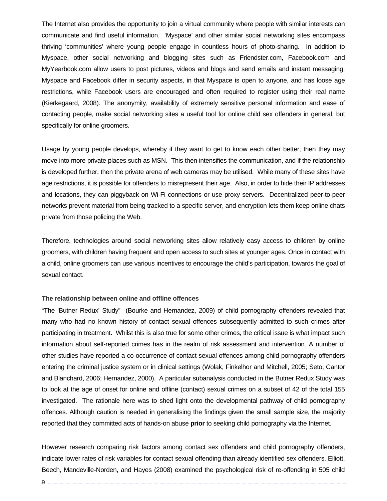The Internet also provides the opportunity to join a virtual community where people with similar interests can communicate and find useful information. 'Myspace' and other similar social networking sites encompass thriving 'communities' where young people engage in countless hours of photo-sharing. In addition to Myspace, other social networking and blogging sites such as Friendster.com, Facebook.com and MyYearbook.com allow users to post pictures, videos and blogs and send emails and instant messaging. Myspace and Facebook differ in security aspects, in that Myspace is open to anyone, and has loose age restrictions, while Facebook users are encouraged and often required to register using their real name (Kierkegaard, 2008). The anonymity, availability of extremely sensitive personal information and ease of contacting people, make social networking sites a useful tool for online child sex offenders in general, but specifically for online groomers.

Usage by young people develops, whereby if they want to get to know each other better, then they may move into more private places such as MSN. This then intensifies the communication, and if the relationship is developed further, then the private arena of web cameras may be utilised. While many of these sites have age restrictions, it is possible for offenders to misrepresent their age. Also, in order to hide their IP addresses and locations, they can piggyback on Wi-Fi connections or use proxy servers. Decentralized peer-to-peer networks prevent material from being tracked to a specific server, and encryption lets them keep online chats private from those policing the Web.

Therefore, technologies around social networking sites allow relatively easy access to children by online groomers, with children having frequent and open access to such sites at younger ages. Once in contact with a child, online groomers can use various incentives to encourage the child's participation, towards the goal of sexual contact.

#### **The relationship between online and offline offences**

"The 'Butner Redux' Study" (Bourke and Hernandez, 2009) of child pornography offenders revealed that many who had no known history of contact sexual offences subsequently admitted to such crimes after participating in treatment. Whilst this is also true for some other crimes, the critical issue is what impact such information about self-reported crimes has in the realm of risk assessment and intervention. A number of other studies have reported a co-occurrence of contact sexual offences among child pornography offenders entering the criminal justice system or in clinical settings (Wolak, Finkelhor and Mitchell, 2005; Seto, Cantor and Blanchard, 2006; Hernandez, 2000). A particular subanalysis conducted in the Butner Redux Study was to look at the age of onset for online and offline (contact) sexual crimes on a subset of 42 of the total 155 investigated. The rationale here was to shed light onto the developmental pathway of child pornography offences. Although caution is needed in generalising the findings given the small sample size, the majority reported that they committed acts of hands-on abuse **prior** to seeking child pornography via the Internet.

However research comparing risk factors among contact sex offenders and child pornography offenders, indicate lower rates of risk variables for contact sexual offending than already identified sex offenders. Elliott, Beech, Mandeville-Norden, and Hayes (2008) examined the psychological risk of re-offending in 505 child

9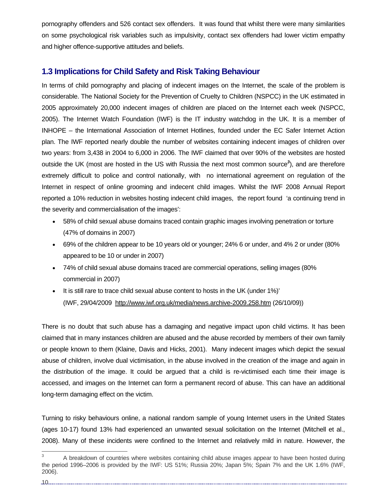pornography offenders and 526 contact sex offenders. It was found that whilst there were many similarities on some psychological risk variables such as impulsivity, contact sex offenders had lower victim empathy and higher offence-supportive attitudes and beliefs.

## **1.3 Implications for Child Safety and Risk Taking Behaviour**

In terms of child pornography and placing of indecent images on the Internet, the scale of the problem is considerable. The National Society for the Prevention of Cruelty to Children (NSPCC) in the UK estimated in 2005 approximately 20,000 indecent images of children are placed on the Internet each week (NSPCC, 2005). The Internet Watch Foundation (IWF) is the IT industry watchdog in the UK. It is a member of INHOPE – the International Association of Internet Hotlines, founded under the EC Safer Internet Action plan. The IWF reported nearly double the number of websites containing indecent images of children over two years: from 3,438 in 2004 to 6,000 in 2006. The IWF claimed that over 90% of the websites are hosted outside the UK (most are hosted in the US with Russia the next most common source*<sup>3</sup>* ), and are therefore extremely difficult to police and control nationally, with no international agreement on regulation of the Internet in respect of online grooming and indecent child images. Whilst the IWF 2008 Annual Report reported a 10% reduction in websites hosting indecent child images, the report found 'a continuing trend in the severity and commercialisation of the images':

- 58% of child sexual abuse domains traced contain graphic images involving penetration or torture (47% of domains in 2007)
- 69% of the children appear to be 10 years old or younger; 24% 6 or under, and 4% 2 or under (80% appeared to be 10 or under in 2007)
- 74% of child sexual abuse domains traced are commercial operations, selling images (80% commercial in 2007)
- It is still rare to trace child sexual abuse content to hosts in the UK (under 1%)' (IWF, 29/04/2009 http://www.iwf.org.uk/media/news.archive-2009.258.htm (26/10/09))

There is no doubt that such abuse has a damaging and negative impact upon child victims. It has been claimed that in many instances children are abused and the abuse recorded by members of their own family or people known to them (Klaine, Davis and Hicks, 2001). Many indecent images which depict the sexual abuse of children, involve dual victimisation, in the abuse involved in the creation of the image and again in the distribution of the image. It could be argued that a child is re-victimised each time their image is accessed, and images on the Internet can form a permanent record of abuse. This can have an additional long-term damaging effect on the victim.

Turning to risky behaviours online, a national random sample of young Internet users in the United States (ages 10-17) found 13% had experienced an unwanted sexual solicitation on the Internet (Mitchell et al., 2008). Many of these incidents were confined to the Internet and relatively mild in nature. However, the

<sup>&</sup>lt;sup>2</sup><br>3 A breakdown of countries where websites containing child abuse images appear to have been hosted during the period 1996–2006 is provided by the IWF: US 51%; Russia 20%; Japan 5%; Spain 7% and the UK 1.6% (IWF, 2006).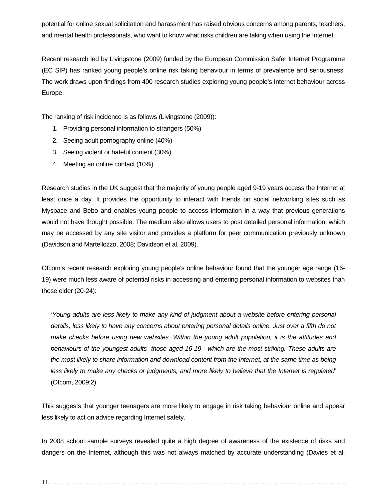potential for online sexual solicitation and harassment has raised obvious concerns among parents, teachers, and mental health professionals, who want to know what risks children are taking when using the Internet.

Recent research led by Livingstone (2009) funded by the European Commission Safer Internet Programme (EC SIP) has ranked young people's online risk taking behaviour in terms of prevalence and seriousness. The work draws upon findings from 400 research studies exploring young people's Internet behaviour across Europe.

The ranking of risk incidence is as follows (Livingstone (2009)):

- 1. Providing personal information to strangers (50%)
- 2. Seeing adult pornography online (40%)
- 3. Seeing violent or hateful content (30%)
- 4. Meeting an online contact (10%)

Research studies in the UK suggest that the majority of young people aged 9-19 years access the Internet at least once a day. It provides the opportunity to interact with friends on social networking sites such as Myspace and Bebo and enables young people to access information in a way that previous generations would not have thought possible. The medium also allows users to post detailed personal information, which may be accessed by any site visitor and provides a platform for peer communication previously unknown (Davidson and Martellozzo, 2008; Davidson et al, 2009).

Ofcom's recent research exploring young people's online behaviour found that the younger age range (16- 19) were much less aware of potential risks in accessing and entering personal information to websites than those older (20-24):

*'Young adults are less likely to make any kind of judgment about a website before entering personal details, less likely to have any concerns about entering personal details online. Just over a fifth do not make checks before using new websites. Within the young adult population, it is the attitudes and behaviours of the youngest adults- those aged 16-19 - which are the most striking. These adults are the most likely to share information and download content from the Internet, at the same time as being less likely to make any checks or judgments, and more likely to believe that the Internet is regulated'* (Ofcom, 2009:2).

This suggests that younger teenagers are more likely to engage in risk taking behaviour online and appear less likely to act on advice regarding Internet safety.

In 2008 school sample surveys revealed quite a high degree of awareness of the existence of risks and dangers on the Internet, although this was not always matched by accurate understanding (Davies et al,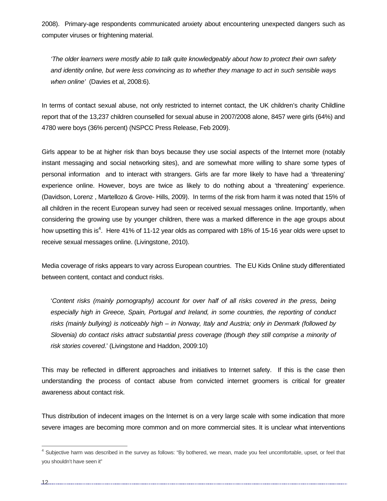2008). Primary-age respondents communicated anxiety about encountering unexpected dangers such as computer viruses or frightening material.

*'The older learners were mostly able to talk quite knowledgeably about how to protect their own safety and identity online, but were less convincing as to whether they manage to act in such sensible ways when online'* (Davies et al, 2008:6).

In terms of contact sexual abuse, not only restricted to internet contact, the UK children's charity Childline report that of the 13,237 children counselled for sexual abuse in 2007/2008 alone, 8457 were girls (64%) and 4780 were boys (36% percent) (NSPCC Press Release, Feb 2009).

Girls appear to be at higher risk than boys because they use social aspects of the Internet more (notably instant messaging and social networking sites), and are somewhat more willing to share some types of personal information and to interact with strangers. Girls are far more likely to have had a 'threatening' experience online. However, boys are twice as likely to do nothing about a 'threatening' experience. (Davidson, Lorenz , Martellozo & Grove- Hills, 2009). In terms of the risk from harm it was noted that 15% of all children in the recent European survey had seen or received sexual messages online. Importantly, when considering the growing use by younger children, there was a marked difference in the age groups about how upsetting this is<sup>4</sup>. Here 41% of 11-12 year olds as compared with 18% of 15-16 year olds were upset to receive sexual messages online. (Livingstone, 2010).

Media coverage of risks appears to vary across European countries. The EU Kids Online study differentiated between content, contact and conduct risks.

'*Content risks (mainly pornography) account for over half of all risks covered in the press, being especially high in Greece, Spain, Portugal and Ireland, in some countries, the reporting of conduct risks (mainly bullying) is noticeably high – in Norway, Italy and Austria; only in Denmark (followed by Slovenia) do contact risks attract substantial press coverage (though they still comprise a minority of risk stories covered*.' (Livingstone and Haddon, 2009:10)

This may be reflected in different approaches and initiatives to Internet safety. If this is the case then understanding the process of contact abuse from convicted internet groomers is critical for greater awareness about contact risk.

Thus distribution of indecent images on the Internet is on a very large scale with some indication that more severe images are becoming more common and on more commercial sites. It is unclear what interventions

.12.........

<sup>&</sup>lt;sup>4</sup> Subjective harm was described in the survey as follows: "By bothered, we mean, made you feel uncomfortable, upset, or feel that you shouldn't have seen it"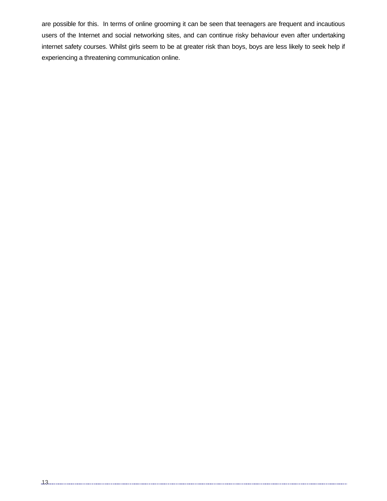are possible for this. In terms of online grooming it can be seen that teenagers are frequent and incautious users of the Internet and social networking sites, and can continue risky behaviour even after undertaking internet safety courses. Whilst girls seem to be at greater risk than boys, boys are less likely to seek help if experiencing a threatening communication online.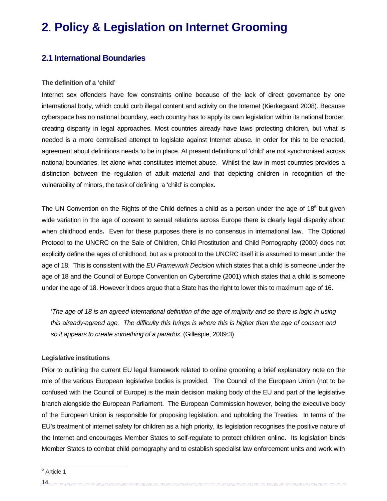# **2**. **Policy & Legislation on Internet Grooming**

## **2.1 International Boundaries**

#### **The definition of a 'child'**

Internet sex offenders have few constraints online because of the lack of direct governance by one international body, which could curb illegal content and activity on the Internet (Kierkegaard 2008). Because cyberspace has no national boundary, each country has to apply its own legislation within its national border, creating disparity in legal approaches. Most countries already have laws protecting children, but what is needed is a more centralised attempt to legislate against Internet abuse. In order for this to be enacted, agreement about definitions needs to be in place. At present definitions of 'child' are not synchronised across national boundaries, let alone what constitutes internet abuse. Whilst the law in most countries provides a distinction between the regulation of adult material and that depicting children in recognition of the vulnerability of minors, the task of defining a 'child' is complex.

The UN Convention on the Rights of the Child defines a child as a person under the age of 18*<sup>5</sup>* but given wide variation in the age of consent to sexual relations across Europe there is clearly legal disparity about when childhood ends**.** Even for these purposes there is no consensus in international law. The Optional Protocol to the UNCRC on the Sale of Children, Child Prostitution and Child Pornography (2000) does not explicitly define the ages of childhood, but as a protocol to the UNCRC itself it is assumed to mean under the age of 18. This is consistent with the *EU Framework Decision* which states that a child is someone under the age of 18 and the Council of Europe Convention on Cybercrime (2001) which states that a child is someone under the age of 18. However it does argue that a State has the right to lower this to maximum age of 16.

'*The age of 18 is an agreed international definition of the age of majority and so there is logic in using this already-agreed age. The difficulty this brings is where this is higher than the age of consent and so it appears to create something of a paradox*' (Gillespie, 2009:3)

## **Legislative institutions**

Prior to outlining the current EU legal framework related to online grooming a brief explanatory note on the role of the various European legislative bodies is provided. The Council of the European Union (not to be confused with the Council of Europe) is the main decision making body of the EU and part of the legislative branch alongside the European Parliament. The European Commission however, being the executive body of the European Union is responsible for proposing legislation, and upholding the Treaties. In terms of the EU's treatment of internet safety for children as a high priority, its legislation recognises the positive nature of the Internet and encourages Member States to self-regulate to protect children online. Its legislation binds Member States to combat child pornography and to establish specialist law enforcement units and work with

<sup>&</sup>lt;sup>5</sup> Article 1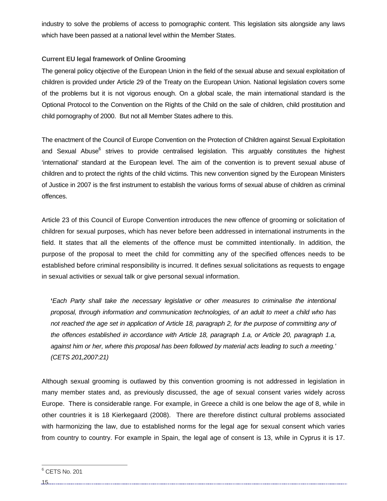industry to solve the problems of access to pornographic content. This legislation sits alongside any laws which have been passed at a national level within the Member States.

## **Current EU legal framework of Online Grooming**

The general policy objective of the European Union in the field of the sexual abuse and sexual exploitation of children is provided under Article 29 of the Treaty on the European Union. National legislation covers some of the problems but it is not vigorous enough. On a global scale, the main international standard is the Optional Protocol to the Convention on the Rights of the Child on the sale of children, child prostitution and child pornography of 2000. But not all Member States adhere to this.

The enactment of the Council of Europe Convention on the Protection of Children against Sexual Exploitation and Sexual Abuse<sup>6</sup> strives to provide centralised legislation. This arguably constitutes the highest 'international' standard at the European level. The aim of the convention is to prevent sexual abuse of children and to protect the rights of the child victims. This new convention signed by the European Ministers of Justice in 2007 is the first instrument to establish the various forms of sexual abuse of children as criminal offences.

Article 23 of this Council of Europe Convention introduces the new offence of grooming or solicitation of children for sexual purposes, which has never before been addressed in international instruments in the field. It states that all the elements of the offence must be committed intentionally. In addition, the purpose of the proposal to meet the child for committing any of the specified offences needs to be established before criminal responsibility is incurred. It defines sexual solicitations as requests to engage in sexual activities or sexual talk or give personal sexual information.

**'***Each Party shall take the necessary legislative or other measures to criminalise the intentional proposal, through information and communication technologies, of an adult to meet a child who has not reached the age set in application of Article 18, paragraph 2, for the purpose of committing any of the offences established in accordance with Article 18, paragraph 1.a, or Article 20, paragraph 1.a, against him or her, where this proposal has been followed by material acts leading to such a meeting.' (CETS 201,2007:21)* 

Although sexual grooming is outlawed by this convention grooming is not addressed in legislation in many member states and, as previously discussed, the age of sexual consent varies widely across Europe. There is considerable range. For example, in Greece a child is one below the age of 8, while in other countries it is 18 Kierkegaard (2008). There are therefore distinct cultural problems associated with harmonizing the law, due to established norms for the legal age for sexual consent which varies from country to country. For example in Spain, the legal age of consent is 13, while in Cyprus it is 17.

 $^6$  CETS No. 201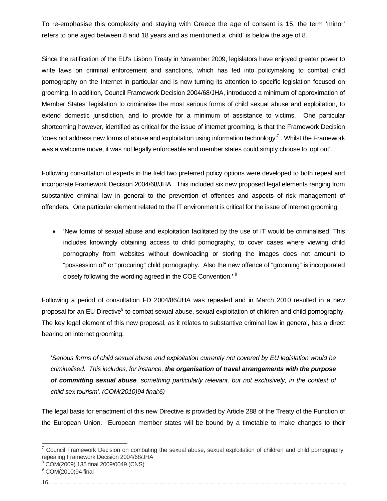To re-emphasise this complexity and staying with Greece the age of consent is 15, the term 'minor' refers to one aged between 8 and 18 years and as mentioned a 'child' is below the age of 8.

Since the ratification of the EU's Lisbon Treaty in November 2009, legislators have enjoyed greater power to write laws on criminal enforcement and sanctions, which has fed into policymaking to combat child pornography on the Internet in particular and is now turning its attention to specific legislation focused on grooming. In addition, Council Framework Decision 2004/68/JHA, introduced a minimum of approximation of Member States' legislation to criminalise the most serious forms of child sexual abuse and exploitation, to extend domestic jurisdiction, and to provide for a minimum of assistance to victims. One particular shortcoming however, identified as critical for the issue of internet grooming, is that the Framework Decision 'does not address new forms of abuse and exploitation using information technology<sup>7</sup>. Whilst the Framework was a welcome move, it was not legally enforceable and member states could simply choose to 'opt out'.

Following consultation of experts in the field two preferred policy options were developed to both repeal and incorporate Framework Decision 2004/68/JHA. This included six new proposed legal elements ranging from substantive criminal law in general to the prevention of offences and aspects of risk management of offenders. One particular element related to the IT environment is critical for the issue of internet grooming:

• 'New forms of sexual abuse and exploitation facilitated by the use of IT would be criminalised. This includes knowingly obtaining access to child pornography, to cover cases where viewing child pornography from websites without downloading or storing the images does not amount to "possession of" or "procuring" child pornography. Also the new offence of "grooming" is incorporated closely following the wording agreed in the COE Convention.' <sup>8</sup>

Following a period of consultation FD 2004/86/JHA was repealed and in March 2010 resulted in a new proposal for an EU Directive<sup>9</sup> to combat sexual abuse, sexual exploitation of children and child pornography. The key legal element of this new proposal, as it relates to substantive criminal law in general, has a direct bearing on internet grooming:

'*Serious forms of child sexual abuse and exploitation currently not covered by EU legislation would be criminalised. This includes, for instance, the organisation of travel arrangements with the purpose of committing sexual abuse, something particularly relevant, but not exclusively, in the context of child sex tourism'. (COM(2010)94 final:6)*

The legal basis for enactment of this new Directive is provided by Article 288 of the Treaty of the Function of the European Union. European member states will be bound by a timetable to make changes to their

16

 $7$  Council Framework Decision on combating the sexual abuse, sexual exploitation of children and child pornography, repealing Framework Decision 2004/68/JHA

<sup>8</sup> COM(2009) 135 final 2009/0049 (CNS)

<sup>&</sup>lt;sup>9</sup> COM(2010)94 final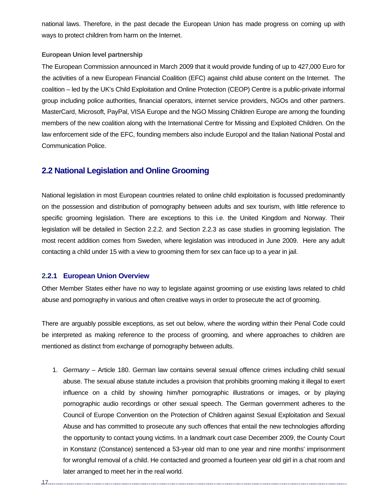national laws. Therefore, in the past decade the European Union has made progress on coming up with ways to protect children from harm on the Internet.

#### **European Union level partnership**

The European Commission announced in March 2009 that it would provide funding of up to 427,000 Euro for the activities of a new European Financial Coalition (EFC) against child abuse content on the Internet. The coalition – led by the UK's Child Exploitation and Online Protection (CEOP) Centre is a public-private informal group including police authorities, financial operators, internet service providers, NGOs and other partners. MasterCard, Microsoft, PayPal, VISA Europe and the NGO Missing Children Europe are among the founding members of the new coalition along with the International Centre for Missing and Exploited Children. On the law enforcement side of the EFC, founding members also include Europol and the Italian National Postal and Communication Police.

## **2.2 National Legislation and Online Grooming**

National legislation in most European countries related to online child exploitation is focussed predominantly on the possession and distribution of pornography between adults and sex tourism, with little reference to specific grooming legislation. There are exceptions to this i.e. the United Kingdom and Norway. Their legislation will be detailed in Section 2.2.2. and Section 2.2.3 as case studies in grooming legislation. The most recent addition comes from Sweden, where legislation was introduced in June 2009. Here any adult contacting a child under 15 with a view to grooming them for sex can face up to a year in jail.

### **2.2.1 European Union Overview**

Other Member States either have no way to legislate against grooming or use existing laws related to child abuse and pornography in various and often creative ways in order to prosecute the act of grooming.

There are arguably possible exceptions, as set out below, where the wording within their Penal Code could be interpreted as making reference to the process of grooming, and where approaches to children are mentioned as distinct from exchange of pornography between adults.

1. *Germany* – Article 180. German law contains several sexual offence crimes including child sexual abuse. The sexual abuse statute includes a provision that prohibits grooming making it illegal to exert influence on a child by showing him/her pornographic illustrations or images, or by playing pornographic audio recordings or other sexual speech. The German government adheres to the Council of Europe Convention on the Protection of Children against Sexual Exploitation and Sexual Abuse and has committed to prosecute any such offences that entail the new technologies affording the opportunity to contact young victims. In a landmark court case December 2009, the County Court in Konstanz (Constance) sentenced a 53-year old man to one year and nine months' imprisonment for wrongful removal of a child. He contacted and groomed a fourteen year old girl in a chat room and later arranged to meet her in the real world.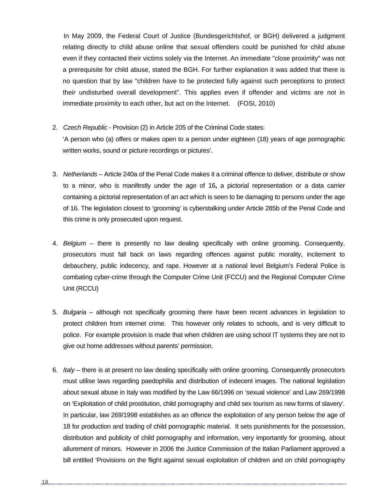In May 2009, the Federal Court of Justice (Bundesgerichtshof, or BGH) delivered a judgment relating directly to child abuse online that sexual offenders could be punished for child abuse even if they contacted their victims solely via the Internet. An immediate "close proximity" was not a prerequisite for child abuse, stated the BGH. For further explanation it was added that there is no question that by law "children have to be protected fully against such perceptions to protect their undisturbed overall development". This applies even if offender and victims are not in immediate proximity to each other, but act on the Internet. (FOSI, 2010)

- 2. *Czech Republic* Provision (2) in Article 205 of the Criminal Code states: 'A person who (a) offers or makes open to a person under eighteen (18) years of age pornographic written works, sound or picture recordings or pictures'.
- 3. *Netherlands* Article 240a of the Penal Code makes it a criminal offence to deliver, distribute or show to a minor, who is manifestly under the age of 16**,** a pictorial representation or a data carrier containing a pictorial representation of an act which is seen to be damaging to persons under the age of 16. The legislation closest to 'grooming' is cyberstalking under Article 285b of the Penal Code and this crime is only prosecuted upon request.
- 4. *Belgium* there is presently no law dealing specifically with online grooming. Consequently, prosecutors must fall back on laws regarding offences against public morality, incitement to debauchery, public indecency, and rape. However at a national level Belgium's Federal Police is combating cyber-crime through the Computer Crime Unit (FCCU) and the Regional Computer Crime Unit (RCCU)
- 5. *Bulgaria* although not specifically grooming there have been recent advances in legislation to protect children from internet crime. This however only relates to schools, and is very difficult to police. For example provision is made that when children are using school IT systems they are not to give out home addresses without parents' permission.
- 6. *Italy* there is at present no law dealing specifically with online grooming. Consequently prosecutors must utilise laws regarding paedophilia and distribution of indecent images. The national legislation about sexual abuse in Italy was modified by the Law 66/1996 on 'sexual violence' and Law 269/1998 on 'Exploitation of child prostitution, child pornography and child sex tourism as new forms of slavery'. In particular, law 269/1998 establishes as an offence the exploitation of any person below the age of 18 for production and trading of child pornographic material. It sets punishments for the possession, distribution and publicity of child pornography and information, very importantly for grooming, about allurement of minors. However in 2006 the Justice Commission of the Italian Parliament approved a bill entitled 'Provisions on the flight against sexual exploitation of children and on child pornography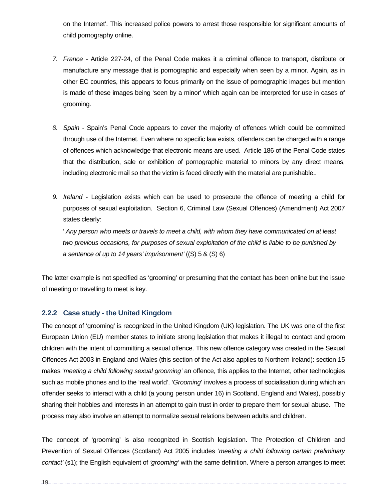on the Internet'. This increased police powers to arrest those responsible for significant amounts of child pornography online.

- *7. France* Article 227-24, of the Penal Code makes it a criminal offence to transport, distribute or manufacture any message that is pornographic and especially when seen by a minor. Again, as in other EC countries, this appears to focus primarily on the issue of pornographic images but mention is made of these images being 'seen by a minor' which again can be interpreted for use in cases of grooming.
- *8. Spain* Spain's Penal Code appears to cover the majority of offences which could be committed through use of the Internet. Even where no specific law exists, offenders can be charged with a range of offences which acknowledge that electronic means are used. Article 186 of the Penal Code states that the distribution, sale or exhibition of pornographic material to minors by any direct means, including electronic mail so that the victim is faced directly with the material are punishable..
- *9. Ireland* Legislation exists which can be used to prosecute the offence of meeting a child for purposes of sexual exploitation. Section 6, Criminal Law (Sexual Offences) (Amendment) Act 2007 states clearly:

' *Any person who meets or travels to meet a child, with whom they have communicated on at least two previous occasions, for purposes of sexual exploitation of the child is liable to be punished by a sentence of up to 14 years' imprisonment'* ((S) 5 & (S) 6)

The latter example is not specified as 'grooming' or presuming that the contact has been online but the issue of meeting or travelling to meet is key.

## **2.2.2 Case study - the United Kingdom**

The concept of 'grooming' is recognized in the United Kingdom (UK) legislation. The UK was one of the first European Union (EU) member states to initiate strong legislation that makes it illegal to contact and groom children with the intent of committing a sexual offence. This new offence category was created in the Sexual Offences Act 2003 in England and Wales (this section of the Act also applies to Northern Ireland): section 15 makes '*meeting a child following sexual grooming'* an offence, this applies to the Internet, other technologies such as mobile phones and to the 'real world'. '*Grooming*' involves a process of socialisation during which an offender seeks to interact with a child (a young person under 16) in Scotland, England and Wales), possibly sharing their hobbies and interests in an attempt to gain trust in order to prepare them for sexual abuse. The process may also involve an attempt to normalize sexual relations between adults and children.

The concept of 'grooming' is also recognized in Scottish legislation. The Protection of Children and Prevention of Sexual Offences (Scotland) Act 2005 includes '*meeting a child following certain preliminary contact'* (s1); the English equivalent of *'grooming'* with the same definition. Where a person arranges to meet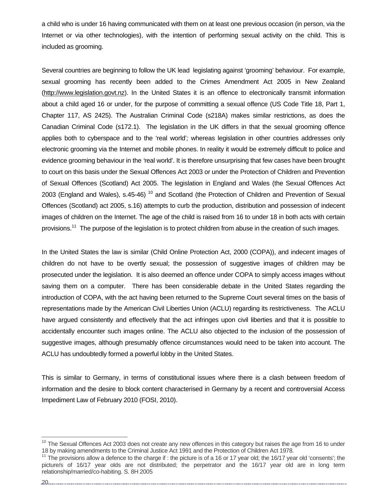a child who is under 16 having communicated with them on at least one previous occasion (in person, via the Internet or via other technologies), with the intention of performing sexual activity on the child. This is included as grooming.

Several countries are beginning to follow the UK lead legislating against 'grooming' behaviour. For example, sexual grooming has recently been added to the Crimes Amendment Act 2005 in New Zealand (http://www.legislation.govt.nz). In the United States it is an offence to electronically transmit information about a child aged 16 or under, for the purpose of committing a sexual offence (US Code Title 18, Part 1, Chapter 117, AS 2425). The Australian Criminal Code (s218A) makes similar restrictions, as does the Canadian Criminal Code (s172.1). The legislation in the UK differs in that the sexual grooming offence applies both to cyberspace and to the 'real world'*;* whereas legislation in other countries addresses only electronic grooming via the Internet and mobile phones. In reality it would be extremely difficult to police and evidence grooming behaviour in the *'*real world'. It is therefore unsurprising that few cases have been brought to court on this basis under the Sexual Offences Act 2003 or under the Protection of Children and Prevention of Sexual Offences (Scotland) Act 2005. The legislation in England and Wales (the Sexual Offences Act 2003 (England and Wales), s.45-46)<sup>10</sup> and Scotland (the Protection of Children and Prevention of Sexual Offences (Scotland) act 2005, s.16) attempts to curb the production, distribution and possession of indecent images of children on the Internet. The age of the child is raised from 16 to under 18 in both acts with certain provisions.<sup>11</sup> The purpose of the legislation is to protect children from abuse in the creation of such images.

In the United States the law is similar (Child Online Protection Act, 2000 (COPA)), and indecent images of children do not have to be overtly sexual; the possession of suggestive images of children may be prosecuted under the legislation. It is also deemed an offence under COPA to simply access images without saving them on a computer. There has been considerable debate in the United States regarding the introduction of COPA, with the act having been returned to the Supreme Court several times on the basis of representations made by the American Civil Liberties Union (ACLU) regarding its restrictiveness. The ACLU have argued consistently and effectively that the act infringes upon civil liberties and that it is possible to accidentally encounter such images online. The ACLU also objected to the inclusion of the possession of suggestive images, although presumably offence circumstances would need to be taken into account. The ACLU has undoubtedly formed a powerful lobby in the United States.

This is similar to Germany, in terms of constitutional issues where there is a clash between freedom of information and the desire to block content characterised in Germany by a recent and controversial Access Impediment Law of February 2010 (FOSI, 2010).

 $10$  The Sexual Offences Act 2003 does not create any new offences in this category but raises the age from 16 to under<br>18 by making amendments to the Criminal Justice Act 1991 and the Protection of Children Act 1978.

<sup>&</sup>lt;sup>11</sup> The provisions allow a defence to the charge if : the picture is of a 16 or 17 year old; the 16/17 year old 'consents'; the picture/s of 16/17 year olds are not distributed; the perpetrator and the 16/17 year old are in long term relationship/married/co-habiting. S. 8H 2005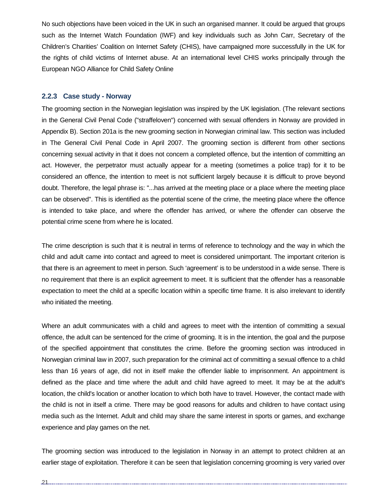No such objections have been voiced in the UK in such an organised manner. It could be argued that groups such as the Internet Watch Foundation (IWF) and key individuals such as John Carr, Secretary of the Children's Charities' Coalition on Internet Safety (CHIS), have campaigned more successfully in the UK for the rights of child victims of Internet abuse. At an international level CHIS works principally through the European NGO Alliance for Child Safety Online

## **2.2.3 Case study - Norway**

The grooming section in the Norwegian legislation was inspired by the UK legislation. (The relevant sections in the General Civil Penal Code ("straffeloven") concerned with sexual offenders in Norway are provided in Appendix B). Section 201a is the new grooming section in Norwegian criminal law. This section was included in The General Civil Penal Code in April 2007. The grooming section is different from other sections concerning sexual activity in that it does not concern a completed offence, but the intention of committing an act. However, the perpetrator must actually appear for a meeting (sometimes a police trap) for it to be considered an offence, the intention to meet is not sufficient largely because it is difficult to prove beyond doubt. Therefore, the legal phrase is: "...has arrived at the meeting place or a place where the meeting place can be observed". This is identified as the potential scene of the crime, the meeting place where the offence is intended to take place, and where the offender has arrived, or where the offender can observe the potential crime scene from where he is located.

The crime description is such that it is neutral in terms of reference to technology and the way in which the child and adult came into contact and agreed to meet is considered unimportant. The important criterion is that there is an agreement to meet in person. Such 'agreement' is to be understood in a wide sense. There is no requirement that there is an explicit agreement to meet. It is sufficient that the offender has a reasonable expectation to meet the child at a specific location within a specific time frame. It is also irrelevant to identify who initiated the meeting.

Where an adult communicates with a child and agrees to meet with the intention of committing a sexual offence, the adult can be sentenced for the crime of grooming. It is in the intention, the goal and the purpose of the specified appointment that constitutes the crime. Before the grooming section was introduced in Norwegian criminal law in 2007, such preparation for the criminal act of committing a sexual offence to a child less than 16 years of age, did not in itself make the offender liable to imprisonment. An appointment is defined as the place and time where the adult and child have agreed to meet. It may be at the adult's location, the child's location or another location to which both have to travel. However, the contact made with the child is not in itself a crime. There may be good reasons for adults and children to have contact using media such as the Internet. Adult and child may share the same interest in sports or games, and exchange experience and play games on the net.

The grooming section was introduced to the legislation in Norway in an attempt to protect children at an earlier stage of exploitation. Therefore it can be seen that legislation concerning grooming is very varied over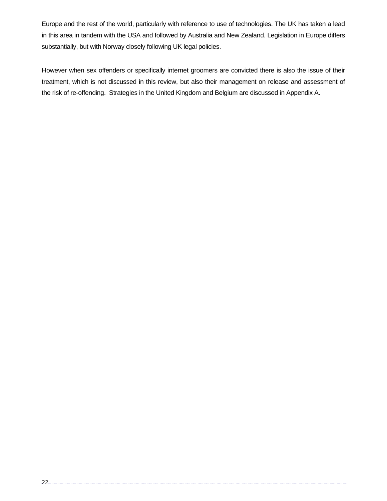Europe and the rest of the world, particularly with reference to use of technologies. The UK has taken a lead in this area in tandem with the USA and followed by Australia and New Zealand. Legislation in Europe differs substantially, but with Norway closely following UK legal policies.

However when sex offenders or specifically internet groomers are convicted there is also the issue of their treatment, which is not discussed in this review, but also their management on release and assessment of the risk of re-offending. Strategies in the United Kingdom and Belgium are discussed in Appendix A.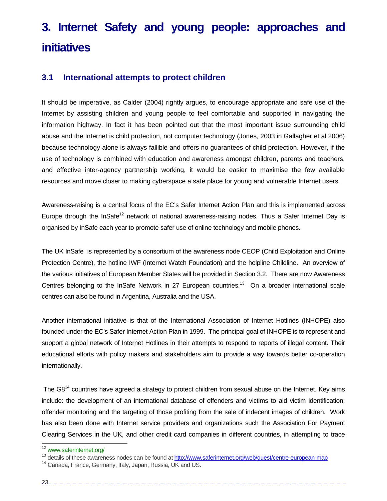# **3. Internet Safety and young people: approaches and initiatives**

## **3.1 International attempts to protect children**

It should be imperative, as Calder (2004) rightly argues, to encourage appropriate and safe use of the Internet by assisting children and young people to feel comfortable and supported in navigating the information highway. In fact it has been pointed out that the most important issue surrounding child abuse and the Internet is child protection, not computer technology (Jones, 2003 in Gallagher et al 2006) because technology alone is always fallible and offers no guarantees of child protection. However, if the use of technology is combined with education and awareness amongst children, parents and teachers, and effective inter-agency partnership working, it would be easier to maximise the few available resources and move closer to making cyberspace a safe place for young and vulnerable Internet users.

Awareness-raising is a central focus of the EC's Safer Internet Action Plan and this is implemented across Europe through the InSafe<sup>12</sup> network of national awareness-raising nodes. Thus a Safer Internet Day is organised by InSafe each year to promote safer use of online technology and mobile phones.

The UK InSafe is represented by a consortium of the awareness node CEOP (Child Exploitation and Online Protection Centre), the hotline IWF (Internet Watch Foundation) and the helpline Childline. An overview of the various initiatives of European Member States will be provided in Section 3.2. There are now Awareness Centres belonging to the InSafe Network in 27 European countries.<sup>13</sup> On a broader international scale centres can also be found in Argentina, Australia and the USA.

Another international initiative is that of the International Association of Internet Hotlines (INHOPE) also founded under the EC's Safer Internet Action Plan in 1999. The principal goal of INHOPE is to represent and support a global network of Internet Hotlines in their attempts to respond to reports of illegal content. Their educational efforts with policy makers and stakeholders aim to provide a way towards better co-operation internationally.

The G8<sup>14</sup> countries have agreed a strategy to protect children from sexual abuse on the Internet. Key aims include: the development of an international database of offenders and victims to aid victim identification; offender monitoring and the targeting of those profiting from the sale of indecent images of children. Work has also been done with Internet service providers and organizations such the Association For Payment Clearing Services in the UK, and other credit card companies in different countries, in attempting to trace

<sup>&</sup>lt;sup>12</sup> www.saferinternet.org/

<sup>13</sup> details of these awareness nodes can be found at http://www.saferinternet.org/web/guest/centre-european-map

<sup>&</sup>lt;sup>14</sup> Canada, France, Germany, Italy, Japan, Russia, UK and US.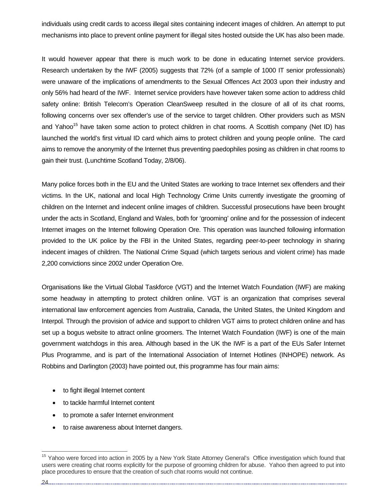individuals using credit cards to access illegal sites containing indecent images of children. An attempt to put mechanisms into place to prevent online payment for illegal sites hosted outside the UK has also been made.

It would however appear that there is much work to be done in educating Internet service providers. Research undertaken by the IWF (2005) suggests that 72% (of a sample of 1000 IT senior professionals) were unaware of the implications of amendments to the Sexual Offences Act 2003 upon their industry and only 56% had heard of the IWF. Internet service providers have however taken some action to address child safety online: British Telecom's Operation CleanSweep resulted in the closure of all of its chat rooms, following concerns over sex offender's use of the service to target children. Other providers such as MSN and Yahoo<sup>15</sup> have taken some action to protect children in chat rooms. A Scottish company (Net ID) has launched the world's first virtual ID card which aims to protect children and young people online. The card aims to remove the anonymity of the Internet thus preventing paedophiles posing as children in chat rooms to gain their trust. (Lunchtime Scotland Today, 2/8/06).

Many police forces both in the EU and the United States are working to trace Internet sex offenders and their victims. In the UK, national and local High Technology Crime Units currently investigate the grooming of children on the Internet and indecent online images of children. Successful prosecutions have been brought under the acts in Scotland, England and Wales, both for 'grooming' online and for the possession of indecent Internet images on the Internet following Operation Ore. This operation was launched following information provided to the UK police by the FBI in the United States, regarding peer-to-peer technology in sharing indecent images of children. The National Crime Squad (which targets serious and violent crime) has made 2,200 convictions since 2002 under Operation Ore.

Organisations like the Virtual Global Taskforce (VGT) and the Internet Watch Foundation (IWF) are making some headway in attempting to protect children online. VGT is an organization that comprises several international law enforcement agencies from Australia, Canada, the United States, the United Kingdom and Interpol. Through the provision of advice and support to children VGT aims to protect children online and has set up a bogus website to attract online groomers. The Internet Watch Foundation (IWF) is one of the main government watchdogs in this area. Although based in the UK the IWF is a part of the EUs Safer Internet Plus Programme, *a*nd is part of the International Association of Internet Hotlines (INHOPE) network. As Robbins and Darlington (2003) have pointed out, this programme has four main aims:

- to fight illegal Internet content
- to tackle harmful Internet content
- to promote a safer Internet environment
- to raise awareness about Internet dangers.

.24............

<sup>&</sup>lt;sup>15</sup> Yahoo were forced into action in 2005 by a New York State Attorney General's Office investigation which found that users were creating chat rooms explicitly for the purpose of grooming children for abuse. Yahoo then agreed to put into place procedures to ensure that the creation of such chat rooms would not continue.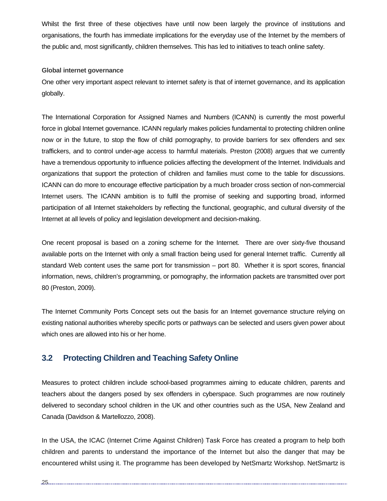Whilst the first three of these objectives have until now been largely the province of institutions and organisations, the fourth has immediate implications for the everyday use of the Internet by the members of the public and, most significantly, children themselves. This has led to initiatives to teach online safety.

### **Global internet governance**

One other very important aspect relevant to internet safety is that of internet governance, and its application globally.

The International Corporation for Assigned Names and Numbers (ICANN) is currently the most powerful force in global Internet governance. ICANN regularly makes policies fundamental to protecting children online now or in the future, to stop the flow of child pornography, to provide barriers for sex offenders and sex traffickers, and to control under-age access to harmful materials. Preston (2008) argues that we currently have a tremendous opportunity to influence policies affecting the development of the Internet. Individuals and organizations that support the protection of children and families must come to the table for discussions. ICANN can do more to encourage effective participation by a much broader cross section of non-commercial Internet users. The ICANN ambition is to fulfil the promise of seeking and supporting broad, informed participation of all Internet stakeholders by reflecting the functional, geographic, and cultural diversity of the Internet at all levels of policy and legislation development and decision-making.

One recent proposal is based on a zoning scheme for the Internet. There are over sixty-five thousand available ports on the Internet with only a small fraction being used for general Internet traffic. Currently all standard Web content uses the same port for transmission – port 80. Whether it is sport scores, financial information, news, children's programming, or pornography, the information packets are transmitted over port 80 (Preston, 2009).

The Internet Community Ports Concept sets out the basis for an Internet governance structure relying on existing national authorities whereby specific ports or pathways can be selected and users given power about which ones are allowed into his or her home.

## **3.2 Protecting Children and Teaching Safety Online**

Measures to protect children include school-based programmes aiming to educate children, parents and teachers about the dangers posed by sex offenders in cyberspace. Such programmes are now routinely delivered to secondary school children in the UK and other countries such as the USA, New Zealand and Canada (Davidson & Martellozzo, 2008).

In the USA, the ICAC (Internet Crime Against Children) Task Force has created a program to help both children and parents to understand the importance of the Internet but also the danger that may be encountered whilst using it. The programme has been developed by NetSmartz Workshop. NetSmartz is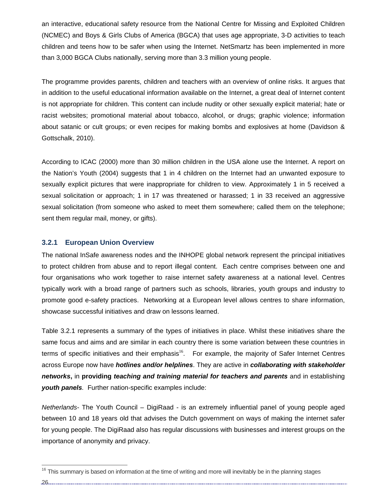an interactive, educational safety resource from the National Centre for Missing and Exploited Children (NCMEC) and Boys & Girls Clubs of America (BGCA) that uses age appropriate, 3-D activities to teach children and teens how to be safer when using the Internet. NetSmartz has been implemented in more than 3,000 BGCA Clubs nationally, serving more than 3.3 million young people.

The programme provides parents, children and teachers with an overview of online risks. It argues that in addition to the useful educational information available on the Internet, a great deal of Internet content is not appropriate for children. This content can include nudity or other sexually explicit material; hate or racist websites; promotional material about tobacco, alcohol, or drugs; graphic violence; information about satanic or cult groups; or even recipes for making bombs and explosives at home (Davidson & Gottschalk, 2010).

According to ICAC (2000) more than 30 million children in the USA alone use the Internet. A report on the Nation's Youth (2004) suggests that 1 in 4 children on the Internet had an unwanted exposure to sexually explicit pictures that were inappropriate for children to view. Approximately 1 in 5 received a sexual solicitation or approach; 1 in 17 was threatened or harassed; 1 in 33 received an aggressive sexual solicitation (from someone who asked to meet them somewhere; called them on the telephone; sent them regular mail, money, or gifts).

## **3.2.1 European Union Overview**

The national InSafe awareness nodes and the INHOPE global network represent the principal initiatives to protect children from abuse and to report illegal content. Each centre comprises between one and four organisations who work together to raise internet safety awareness at a national level. Centres typically work with a broad range of partners such as schools, libraries, youth groups and industry to promote good e-safety practices. Networking at a European level allows centres to share information, showcase successful initiatives and draw on lessons learned.

Table 3.2.1 represents a summary of the types of initiatives in place. Whilst these initiatives share the same focus and aims and are similar in each country there is some variation between these countries in terms of specific initiatives and their emphasis $16$ . For example, the majority of Safer Internet Centres across Europe now have *hotlines and/or helplines*. They are active in *collaborating with stakeholder networks***,** in **providing** *teaching and training material for teachers and parents* and in establishing *youth panels.* Further nation-specific examples include:

*Netherlands*- The Youth Council – DigiRaad - is an extremely influential panel of young people aged between 10 and 18 years old that advises the Dutch government on ways of making the internet safer for young people. The DigiRaad also has regular discussions with businesses and interest groups on the importance of anonymity and privacy.

<sup>&</sup>lt;sup>16</sup> This summary is based on information at the time of writing and more will inevitably be in the planning stages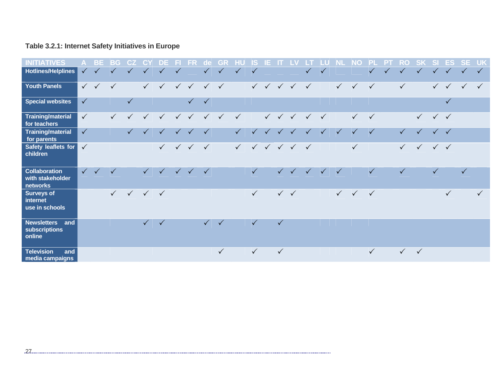## **Table 3.2.1: Internet Safety Initiatives in Europe**

| <b>ATIVES</b><br>INITI                               |              | ΒE           | BG           | CZ.          |                                            |              |              | FR                        | de           |              |              | S            | E |              |                                                     |              |              |                           | O            |              |           | RO           |              | S            | ES           | <b>SE</b>    | <b>UK</b>    |
|------------------------------------------------------|--------------|--------------|--------------|--------------|--------------------------------------------|--------------|--------------|---------------------------|--------------|--------------|--------------|--------------|---|--------------|-----------------------------------------------------|--------------|--------------|---------------------------|--------------|--------------|-----------|--------------|--------------|--------------|--------------|--------------|--------------|
| <b>Hotlines/Helplines</b>                            | $\checkmark$ | $\checkmark$ | $\checkmark$ | $\checkmark$ | $\sqrt{}$                                  | $\sqrt{}$    | $\checkmark$ |                           | $\sqrt{ }$   | $\sqrt{}$    | $\sqrt{}$    | $\checkmark$ |   |              |                                                     | $\sqrt{}$    | $\checkmark$ |                           |              |              | $\sqrt{}$ | $\checkmark$ | $\sqrt{}$    |              | $\sqrt{}$    | $\checkmark$ | $\checkmark$ |
| <b>Youth Panels</b>                                  |              | $\checkmark$ | $\checkmark$ |              | $\checkmark$                               |              |              | $\checkmark$ $\checkmark$ | $\sqrt{ }$   | $\checkmark$ |              |              |   |              | $\checkmark$ $\checkmark$ $\checkmark$ $\checkmark$ | $\checkmark$ |              | $\checkmark$              | $\sqrt{2}$   | $\checkmark$ |           | $\checkmark$ |              | $\checkmark$ | $\sqrt{}$    | $\checkmark$ | $\checkmark$ |
| <b>Special websites</b>                              | $\checkmark$ |              |              | $\checkmark$ |                                            |              |              | $\checkmark$              | $\checkmark$ |              |              |              |   |              |                                                     |              |              |                           |              |              |           |              |              |              | $\checkmark$ |              |              |
| <b>Training/material</b><br>for teachers             | $\checkmark$ |              | $\checkmark$ | $\checkmark$ | $\checkmark$                               | $\checkmark$ | $\checkmark$ | $\checkmark$              | $\sqrt{}$    | $\checkmark$ | $\checkmark$ |              |   |              | $\checkmark$ $\checkmark$ $\checkmark$              | $\checkmark$ | $\checkmark$ |                           | $\checkmark$ | $\checkmark$ |           |              | $\checkmark$ | $\checkmark$ |              |              |              |
| <b>Training/material</b><br>for parents              | $\checkmark$ |              |              | $\checkmark$ | $\checkmark$                               | $\checkmark$ | $\checkmark$ | $\checkmark$              | $\checkmark$ |              | $\checkmark$ | $\checkmark$ |   |              | $\checkmark$                                        | $\checkmark$ | $\checkmark$ | $\checkmark$              | $\checkmark$ | $\checkmark$ |           | $\checkmark$ | $\checkmark$ | $\checkmark$ | $\checkmark$ |              |              |
| Safety leaflets for<br>children                      | $\checkmark$ |              |              |              |                                            | $\checkmark$ |              | $\checkmark$ $\checkmark$ | $\checkmark$ |              | $\checkmark$ |              |   |              | $\checkmark$ $\checkmark$ $\checkmark$ $\checkmark$ | $\checkmark$ |              |                           | $\checkmark$ |              |           | $\checkmark$ | $\checkmark$ | $\sqrt{2}$   | $\checkmark$ |              |              |
| <b>Collaboration</b><br>with stakeholder<br>networks |              | $\checkmark$ | $\checkmark$ |              | $\checkmark$                               |              |              | $\checkmark$              | $\checkmark$ |              |              | $\checkmark$ |   |              | $\checkmark$ $\checkmark$                           |              | $\checkmark$ | $\checkmark$              |              | $\checkmark$ |           | $\checkmark$ |              | $\checkmark$ |              | $\checkmark$ |              |
| <b>Surveys of</b><br>internet<br>use in schools      |              |              | $\checkmark$ |              | $\checkmark\quad\checkmark\quad\checkmark$ |              |              |                           |              |              |              | $\checkmark$ |   |              | $\checkmark$ $\checkmark$                           |              |              | $\checkmark$ $\checkmark$ |              | $\checkmark$ |           |              |              |              | $\checkmark$ |              | $\checkmark$ |
| <b>Newsletters</b><br>and<br>subscriptions<br>online |              |              |              |              | $\checkmark$                               | $\checkmark$ |              |                           | $\checkmark$ | $\checkmark$ |              | $\checkmark$ |   | $\checkmark$ |                                                     |              |              |                           |              |              |           |              |              |              |              |              |              |
| <b>Television</b><br>and<br>media campaigns          |              |              |              |              |                                            |              |              |                           |              | $\checkmark$ |              | $\checkmark$ |   | $\checkmark$ |                                                     |              |              |                           |              | $\checkmark$ |           | $\sqrt{}$    | $\checkmark$ |              |              |              |              |

27…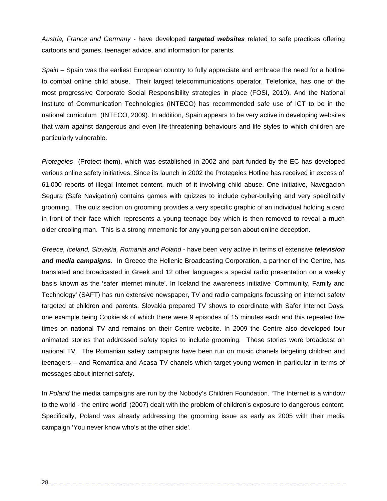*Austria, France and Germany* - have developed *targeted websites* related to safe practices offering cartoons and games, teenager advice, and information for parents.

*Spain –* Spain was the earliest European country to fully appreciate and embrace the need for a hotline to combat online child abuse. Their largest telecommunications operator, Telefonica, has one of the most progressive Corporate Social Responsibility strategies in place (FOSI, 2010). And the National Institute of Communication Technologies (INTECO) has recommended safe use of ICT to be in the national curriculum (INTECO, 2009). In addition, Spain appears to be very active in developing websites that warn against dangerous and even life-threatening behaviours and life styles to which children are particularly vulnerable.

*Protegeles* (Protect them), which was established in 2002 and part funded by the EC has developed various online safety initiatives. Since its launch in 2002 the Protegeles Hotline has received in excess of 61,000 reports of illegal Internet content, much of it involving child abuse. One initiative, Navegacion Segura (Safe Navigation) contains games with quizzes to include cyber-bullying and very specifically grooming. The quiz section on grooming provides a very specific graphic of an individual holding a card in front of their face which represents a young teenage boy which is then removed to reveal a much older drooling man. This is a strong mnemonic for any young person about online deception.

*Greece, Iceland, Slovakia, Romania and Poland* - have been very active in terms of extensive *television and media campaigns*. In Greece the Hellenic Broadcasting Corporation, a partner of the Centre, has translated and broadcasted in Greek and 12 other languages a special radio presentation on a weekly basis known as the 'safer internet minute'. In Iceland the awareness initiative 'Community, Family and Technology' (SAFT) has run extensive newspaper, TV and radio campaigns focussing on internet safety targeted at children and parents. Slovakia prepared TV shows to coordinate with Safer Internet Days, one example being Cookie.sk of which there were 9 episodes of 15 minutes each and this repeated five times on national TV and remains on their Centre website. In 2009 the Centre also developed four animated stories that addressed safety topics to include grooming. These stories were broadcast on national TV. The Romanian safety campaigns have been run on music chanels targeting children and teenagers – and Romantica and Acasa TV chanels which target young women in particular in terms of messages about internet safety.

In *Poland* the media campaigns are run by the Nobody's Children Foundation. 'The Internet is a window to the world - the entire world' (2007) dealt with the problem of children's exposure to dangerous content. Specifically, Poland was already addressing the grooming issue as early as 2005 with their media campaign 'You never know who's at the other side'.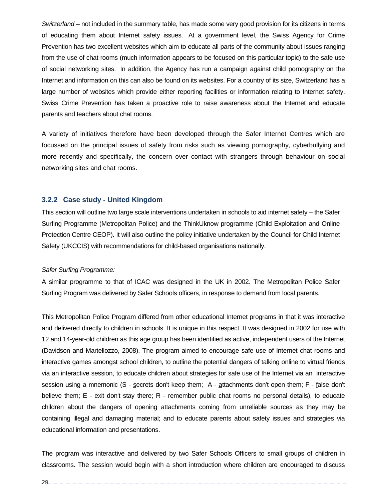*Switzerland* – not included in the summary table, has made some very good provision for its citizens in terms of educating them about Internet safety issues. At a government level, the Swiss Agency for Crime Prevention has two excellent websites which aim to educate all parts of the community about issues ranging from the use of chat rooms (much information appears to be focused on this particular topic) to the safe use of social networking sites. In addition, the Agency has run a campaign against child pornography on the Internet and information on this can also be found on its websites. For a country of its size, Switzerland has a large number of websites which provide either reporting facilities or information relating to Internet safety. Swiss Crime Prevention has taken a proactive role to raise awareness about the Internet and educate parents and teachers about chat rooms.

A variety of initiatives therefore have been developed through the Safer Internet Centres which are focussed on the principal issues of safety from risks such as viewing pornography, cyberbullying and more recently and specifically, the concern over contact with strangers through behaviour on social networking sites and chat rooms.

#### **3.2.2 Case study - United Kingdom**

This section will outline two large scale interventions undertaken in schools to aid internet safety – the Safer Surfing Programme (Metropolitan Police) and the ThinkUknow programme (Child Exploitation and Online Protection Centre CEOP). It will also outline the policy initiative undertaken by the Council for Child Internet Safety (UKCCIS) with recommendations for child-based organisations nationally.

#### *Safer Surfing Programme:*

A similar programme to that of ICAC was designed in the UK in 2002. The Metropolitan Police Safer Surfing Program was delivered by Safer Schools officers, in response to demand from local parents.

This Metropolitan Police Program differed from other educational Internet programs in that it was interactive and delivered directly to children in schools. It is unique in this respect. It was designed in 2002 for use with 12 and 14-year-old children as this age group has been identified as active, independent users of the Internet (Davidson and Martellozzo, 2008). The program aimed to encourage safe use of Internet chat rooms and interactive games amongst school children, to outline the potential dangers of talking online to virtual friends via an interactive session, to educate children about strategies for safe use of the Internet via an interactive session using a mnemonic (S - secrets don't keep them; A - attachments don't open them; F - false don't believe them; E - exit don't stay there; R - remember public chat rooms no personal details), to educate children about the dangers of opening attachments coming from unreliable sources as they may be containing illegal and damaging material; and to educate parents about safety issues and strategies via educational information and presentations.

The program was interactive and delivered by two Safer Schools Officers to small groups of children in classrooms. The session would begin with a short introduction where children are encouraged to discuss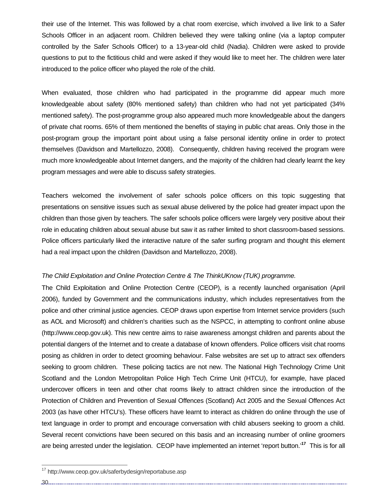their use of the Internet. This was followed by a chat room exercise, which involved a live link to a Safer Schools Officer in an adjacent room. Children believed they were talking online (via a laptop computer controlled by the Safer Schools Officer) to a 13-year-old child (Nadia). Children were asked to provide questions to put to the fictitious child and were asked if they would like to meet her. The children were later introduced to the police officer who played the role of the child.

When evaluated, those children who had participated in the programme did appear much more knowledgeable about safety (80% mentioned safety) than children who had not yet participated (34% mentioned safety). The post-programme group also appeared much more knowledgeable about the dangers of private chat rooms. 65% of them mentioned the benefits of staying in public chat areas. Only those in the post-program group the important point about using a false personal identity online in order to protect themselves (Davidson and Martellozzo, 2008). Consequently, children having received the program were much more knowledgeable about Internet dangers, and the majority of the children had clearly learnt the key program messages and were able to discuss safety strategies.

Teachers welcomed the involvement of safer schools police officers on this topic suggesting that presentations on sensitive issues such as sexual abuse delivered by the police had greater impact upon the children than those given by teachers. The safer schools police officers were largely very positive about their role in educating children about sexual abuse but saw it as rather limited to short classroom-based sessions. Police officers particularly liked the interactive nature of the safer surfing program and thought this element had a real impact upon the children (Davidson and Martellozzo, 2008).

#### *The Child Exploitation and Online Protection Centre & The ThinkUKnow (TUK) programme.*

The Child Exploitation and Online Protection Centre (CEOP), is a recently launched organisation (April 2006), funded by Government and the communications industry, which includes representatives from the police and other criminal justice agencies. CEOP draws upon expertise from Internet service providers (such as AOL and Microsoft) and children's charities such as the NSPCC, in attempting to confront online abuse (http://www.ceop.gov.uk). This new centre aims to raise awareness amongst children and parents about the potential dangers of the Internet and to create a database of known offenders. Police officers visit chat rooms posing as children in order to detect grooming behaviour. False websites are set up to attract sex offenders seeking to groom children. These policing tactics are not new. The National High Technology Crime Unit Scotland and the London Metropolitan Police High Tech Crime Unit (HTCU), for example, have placed undercover officers in teen and other chat rooms likely to attract children since the introduction of the Protection of Children and Prevention of Sexual Offences (Scotland) Act 2005 and the Sexual Offences Act 2003 (as have other HTCU's). These officers have learnt to interact as children do online through the use of text language in order to prompt and encourage conversation with child abusers seeking to groom a child. Several recent convictions have been secured on this basis and an increasing number of online groomers are being arrested under the legislation. CEOP have implemented an internet 'report button.'**<sup>17</sup>** This is for all

30

<sup>&</sup>lt;sup>17</sup> http://www.ceop.gov.uk/saferbydesign/reportabuse.asp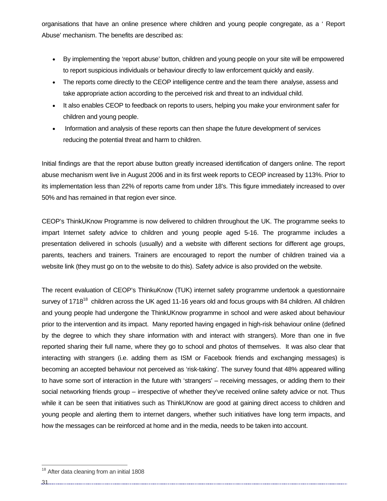organisations that have an online presence where children and young people congregate, as a ' Report Abuse' mechanism. The benefits are described as:

- By implementing the 'report abuse' button, children and young people on your site will be empowered to report suspicious individuals or behaviour directly to law enforcement quickly and easily.
- The reports come directly to the CEOP intelligence centre and the team there analyse, assess and take appropriate action according to the perceived risk and threat to an individual child.
- It also enables CEOP to feedback on reports to users, helping you make your environment safer for children and young people.
- Information and analysis of these reports can then shape the future development of services reducing the potential threat and harm to children.

Initial findings are that the report abuse button greatly increased identification of dangers online. The report abuse mechanism went live in August 2006 and in its first week reports to CEOP increased by 113%. Prior to its implementation less than 22% of reports came from under 18's. This figure immediately increased to over 50% and has remained in that region ever since.

CEOP's ThinkUKnow Programme is now delivered to children throughout the UK. The programme seeks to impart Internet safety advice to children and young people aged 5-16. The programme includes a presentation delivered in schools (usually) and a website with different sections for different age groups, parents, teachers and trainers. Trainers are encouraged to report the number of children trained via a website link (they must go on to the website to do this). Safety advice is also provided on the website.

The recent evaluation of CEOP's ThinkuKnow (TUK) internet safety programme undertook a questionnaire survey of 1718<sup>18</sup> children across the UK aged 11-16 years old and focus groups with 84 children. All children and young people had undergone the ThinkUKnow programme in school and were asked about behaviour prior to the intervention and its impact. Many reported having engaged in high-risk behaviour online (defined by the degree to which they share information with and interact with strangers). More than one in five reported sharing their full name, where they go to school and photos of themselves. It was also clear that interacting with strangers (i.e. adding them as ISM or Facebook friends and exchanging messages) is becoming an accepted behaviour not perceived as 'risk-taking'. The survey found that 48% appeared willing to have some sort of interaction in the future with 'strangers' – receiving messages, or adding them to their social networking friends group – irrespective of whether they've received online safety advice or not. Thus while it can be seen that initiatives such as ThinkUKnow are good at gaining direct access to children and young people and alerting them to internet dangers, whether such initiatives have long term impacts, and how the messages can be reinforced at home and in the media, needs to be taken into account.

31

<sup>&</sup>lt;sup>18</sup> After data cleaning from an initial 1808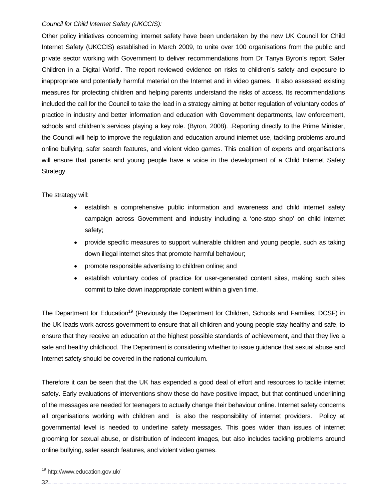#### *Council for Child Internet Safety (UKCCIS):*

Other policy initiatives concerning internet safety have been undertaken by the new UK Council for Child Internet Safety (UKCCIS) established in March 2009, to unite over 100 organisations from the public and private sector working with Government to deliver recommendations from Dr Tanya Byron's report 'Safer Children in a Digital World'. The report reviewed evidence on risks to children's safety and exposure to inappropriate and potentially harmful material on the Internet and in video games. It also assessed existing measures for protecting children and helping parents understand the risks of access. Its recommendations included the call for the Council to take the lead in a strategy aiming at better regulation of voluntary codes of practice in industry and better information and education with Government departments, law enforcement, schools and children's services playing a key role. (Byron, 2008). .Reporting directly to the Prime Minister, the Council will help to improve the regulation and education around internet use, tackling problems around online bullying, safer search features, and violent video games. This coalition of experts and organisations will ensure that parents and young people have a voice in the development of a Child Internet Safety Strategy.

The strategy will:

- establish a comprehensive public information and awareness and child internet safety campaign across Government and industry including a 'one-stop shop' on child internet safety;
- provide specific measures to support vulnerable children and young people, such as taking down illegal internet sites that promote harmful behaviour;
- promote responsible advertising to children online; and
- establish voluntary codes of practice for user-generated content sites, making such sites commit to take down inappropriate content within a given time.

The Department for Education<sup>19</sup> (Previously the Department for Children, Schools and Families, DCSF) in the UK leads work across government to ensure that all children and young people stay healthy and safe, to ensure that they receive an education at the highest possible standards of achievement, and that they live a safe and healthy childhood. The Department is considering whether to issue guidance that sexual abuse and Internet safety should be covered in the national curriculum.

Therefore it can be seen that the UK has expended a good deal of effort and resources to tackle internet safety. Early evaluations of interventions show these do have positive impact, but that continued underlining of the messages are needed for teenagers to actually change their behaviour online. Internet safety concerns all organisations working with children and is also the responsibility of internet providers. Policy at governmental level is needed to underline safety messages. This goes wider than issues of internet grooming for sexual abuse, or distribution of indecent images, but also includes tackling problems around online bullying, safer search features, and violent video games.

32

<sup>19</sup> http://www.education.gov.uk/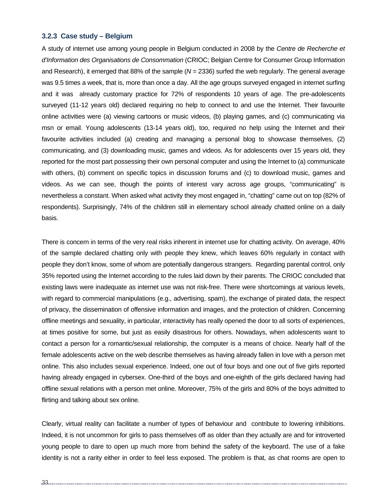#### **3.2.3 Case study – Belgium**

A study of internet use among young people in Belgium conducted in 2008 by the *Centre de Recherche et d'Information des Organisations de Consommation* (CRIOC; Belgian Centre for Consumer Group Information and Research), it emerged that 88% of the sample (*N* = 2336) surfed the web regularly. The general average was 9.5 times a week, that is, more than once a day. All the age groups surveyed engaged in internet surfing and it was already customary practice for 72% of respondents 10 years of age. The pre-adolescents surveyed (11-12 years old) declared requiring no help to connect to and use the Internet. Their favourite online activities were (a) viewing cartoons or music videos, (b) playing games, and (c) communicating via msn or email. Young adolescents (13-14 years old), too, required no help using the Internet and their favourite activities included (a) creating and managing a personal blog to showcase themselves, (2) communicating, and (3) downloading music, games and videos. As for adolescents over 15 years old, they reported for the most part possessing their own personal computer and using the Internet to (a) communicate with others, (b) comment on specific topics in discussion forums and (c) to download music, games and videos. As we can see, though the points of interest vary across age groups, "communicating" is nevertheless a constant. When asked what activity they most engaged in, "chatting" came out on top (82% of respondents). Surprisingly, 74% of the children still in elementary school already chatted online on a daily basis.

There is concern in terms of the very real risks inherent in internet use for chatting activity. On average, 40% of the sample declared chatting only with people they knew, which leaves 60% regularly in contact with people they don't know, some of whom are potentially dangerous strangers. Regarding parental control, only 35% reported using the Internet according to the rules laid down by their parents. The CRIOC concluded that existing laws were inadequate as internet use was not risk-free. There were shortcomings at various levels, with regard to commercial manipulations (e.g., advertising, spam), the exchange of pirated data, the respect of privacy, the dissemination of offensive information and images, and the protection of children. Concerning offline meetings and sexuality, in particular, interactivity has really opened the door to all sorts of experiences, at times positive for some, but just as easily disastrous for others. Nowadays, when adolescents want to contact a person for a romantic/sexual relationship, the computer is a means of choice. Nearly half of the female adolescents active on the web describe themselves as having already fallen in love with a person met online. This also includes sexual experience. Indeed, one out of four boys and one out of five girls reported having already engaged in cybersex. One-third of the boys and one-eighth of the girls declared having had offline sexual relations with a person met online. Moreover, 75% of the girls and 80% of the boys admitted to flirting and talking about sex online.

Clearly, virtual reality can facilitate a number of types of behaviour and contribute to lowering inhibitions. Indeed, it is not uncommon for girls to pass themselves off as older than they actually are and for introverted young people to dare to open up much more from behind the safety of the keyboard. The use of a fake identity is not a rarity either in order to feel less exposed. The problem is that, as chat rooms are open to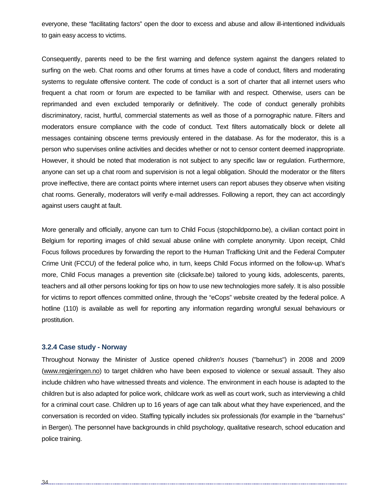everyone, these "facilitating factors" open the door to excess and abuse and allow ill-intentioned individuals to gain easy access to victims.

Consequently, parents need to be the first warning and defence system against the dangers related to surfing on the web. Chat rooms and other forums at times have a code of conduct, filters and moderating systems to regulate offensive content. The code of conduct is a sort of charter that all internet users who frequent a chat room or forum are expected to be familiar with and respect. Otherwise, users can be reprimanded and even excluded temporarily or definitively. The code of conduct generally prohibits discriminatory, racist, hurtful, commercial statements as well as those of a pornographic nature. Filters and moderators ensure compliance with the code of conduct. Text filters automatically block or delete all messages containing obscene terms previously entered in the database. As for the moderator, this is a person who supervises online activities and decides whether or not to censor content deemed inappropriate. However, it should be noted that moderation is not subject to any specific law or regulation. Furthermore, anyone can set up a chat room and supervision is not a legal obligation. Should the moderator or the filters prove ineffective, there are contact points where internet users can report abuses they observe when visiting chat rooms. Generally, moderators will verify e-mail addresses. Following a report, they can act accordingly against users caught at fault.

More generally and officially, anyone can turn to Child Focus (stopchildporno.be), a civilian contact point in Belgium for reporting images of child sexual abuse online with complete anonymity. Upon receipt, Child Focus follows procedures by forwarding the report to the Human Trafficking Unit and the Federal Computer Crime Unit (FCCU) of the federal police who, in turn, keeps Child Focus informed on the follow-up. What's more, Child Focus manages a prevention site (clicksafe.be) tailored to young kids, adolescents, parents, teachers and all other persons looking for tips on how to use new technologies more safely. It is also possible for victims to report offences committed online, through the "eCops" website created by the federal police. A hotline (110) is available as well for reporting any information regarding wrongful sexual behaviours or prostitution.

#### **3.2.4 Case study - Norway**

Throughout Norway the Minister of Justice opened *children's houses* ("barnehus") in 2008 and 2009 (www.regjeringen.no) to target children who have been exposed to violence or sexual assault. They also include children who have witnessed threats and violence. The environment in each house is adapted to the children but is also adapted for police work, childcare work as well as court work, such as interviewing a child for a criminal court case. Children up to 16 years of age can talk about what they have experienced, and the conversation is recorded on video. Staffing typically includes six professionals (for example in the "barnehus" in Bergen). The personnel have backgrounds in child psychology, qualitative research, school education and police training.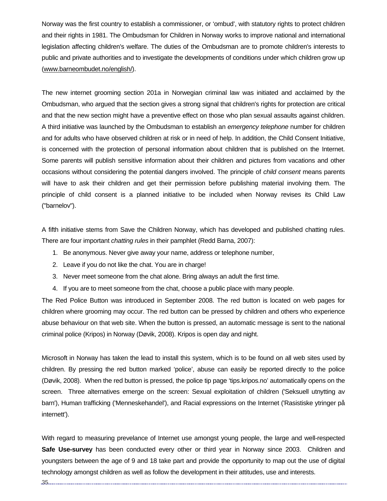Norway was the first country to establish a commissioner, or 'ombud', with statutory rights to protect children and their rights in 1981. The Ombudsman for Children in Norway works to improve national and international legislation affecting children's welfare. The duties of the Ombudsman are to promote children's interests to public and private authorities and to investigate the developments of conditions under which children grow up (www.barneombudet.no/english/).

The new internet grooming section 201a in Norwegian criminal law was initiated and acclaimed by the Ombudsman, who argued that the section gives a strong signal that children's rights for protection are critical and that the new section might have a preventive effect on those who plan sexual assaults against children. A third initiative was launched by the Ombudsman to establish an *emergency telephone* number for children and for adults who have observed children at risk or in need of help. In addition, the Child Consent Initiative, is concerned with the protection of personal information about children that is published on the Internet. Some parents will publish sensitive information about their children and pictures from vacations and other occasions without considering the potential dangers involved. The principle of *child consent* means parents will have to ask their children and get their permission before publishing material involving them. The principle of child consent is a planned initiative to be included when Norway revises its Child Law ("barnelov").

A fifth initiative stems from Save the Children Norway, which has developed and published chatting rules. There are four important *chatting rules* in their pamphlet (Redd Barna, 2007):

- 1. Be anonymous. Never give away your name, address or telephone number,
- 2. Leave if you do not like the chat. You are in charge!
- 3. Never meet someone from the chat alone. Bring always an adult the first time.
- 4. If you are to meet someone from the chat, choose a public place with many people.

The Red Police Button was introduced in September 2008. The red button is located on web pages for children where grooming may occur. The red button can be pressed by children and others who experience abuse behaviour on that web site. When the button is pressed, an automatic message is sent to the national criminal police (Kripos) in Norway (Døvik, 2008). Kripos is open day and night.

Microsoft in Norway has taken the lead to install this system, which is to be found on all web sites used by children. By pressing the red button marked 'police', abuse can easily be reported directly to the police (Døvik, 2008). When the red button is pressed, the police tip page 'tips.kripos.no' automatically opens on the screen. Three alternatives emerge on the screen: Sexual exploitation of children ('Seksuell utnytting av barn'), Human trafficking ('Menneskehandel'), and Racial expressions on the Internet ('Rasistiske ytringer på internett').

With regard to measuring prevelance of Internet use amongst young people, the large and well-respected **Safe Use-survey** has been conducted every other or third year in Norway since 2003. Children and youngsters between the age of 9 and 18 take part and provide the opportunity to map out the use of digital technology amongst children as well as follow the development in their attitudes, use and interests.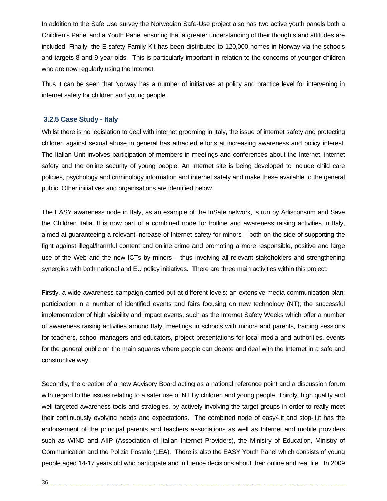In addition to the Safe Use survey the Norwegian Safe-Use project also has two active youth panels both a Children's Panel and a Youth Panel ensuring that a greater understanding of their thoughts and attitudes are included. Finally, the E-safety Family Kit has been distributed to 120,000 homes in Norway via the schools and targets 8 and 9 year olds. This is particularly important in relation to the concerns of younger children who are now regularly using the Internet.

Thus it can be seen that Norway has a number of initiatives at policy and practice level for intervening in internet safety for children and young people.

## **3.2.5 Case Study - Italy**

Whilst there is no legislation to deal with internet grooming in Italy, the issue of internet safety and protecting children against sexual abuse in general has attracted efforts at increasing awareness and policy interest. The Italian Unit involves participation of members in meetings and conferences about the Internet, internet safety and the online security of young people. An internet site is being developed to include child care policies, psychology and criminology information and internet safety and make these available to the general public. Other initiatives and organisations are identified below.

The EASY awareness node in Italy, as an example of the InSafe network, is run by Adisconsum and Save the Children Italia. It is now part of a combined node for hotline and awareness raising activities in Italy, aimed at guaranteeing a relevant increase of Internet safety for minors – both on the side of supporting the fight against illegal/harmful content and online crime and promoting a more responsible, positive and large use of the Web and the new ICTs by minors – thus involving all relevant stakeholders and strengthening synergies with both national and EU policy initiatives. There are three main activities within this project.

Firstly, a wide awareness campaign carried out at different levels: an extensive media communication plan; participation in a number of identified events and fairs focusing on new technology (NT); the successful implementation of high visibility and impact events, such as the Internet Safety Weeks which offer a number of awareness raising activities around Italy, meetings in schools with minors and parents, training sessions for teachers, school managers and educators, project presentations for local media and authorities, events for the general public on the main squares where people can debate and deal with the Internet in a safe and constructive way.

Secondly, the creation of a new Advisory Board acting as a national reference point and a discussion forum with regard to the issues relating to a safer use of NT by children and young people. Thirdly, high quality and well targeted awareness tools and strategies, by actively involving the target groups in order to really meet their continuously evolving needs and expectations. The combined node of easy4.it and stop-it.it has the endorsement of the principal parents and teachers associations as well as Internet and mobile providers such as WIND and AIIP (Association of Italian Internet Providers), the Ministry of Education, Ministry of Communication and the Polizia Postale (LEA). There is also the EASY Youth Panel which consists of young people aged 14-17 years old who participate and influence decisions about their online and real life. In 2009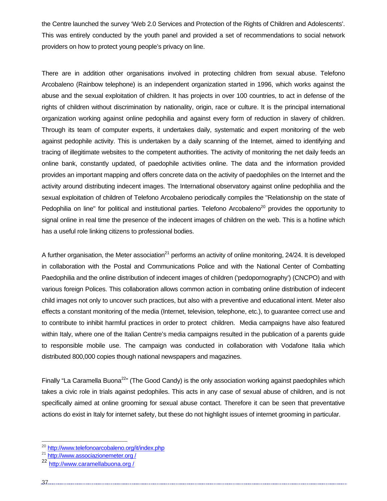the Centre launched the survey 'Web 2.0 Services and Protection of the Rights of Children and Adolescents'. This was entirely conducted by the youth panel and provided a set of recommendations to social network providers on how to protect young people's privacy on line.

There are in addition other organisations involved in protecting children from sexual abuse. Telefono Arcobaleno (Rainbow telephone) is an independent organization started in 1996, which works against the abuse and the sexual exploitation of children. It has projects in over 100 countries, to act in defense of the rights of children without discrimination by nationality, origin, race or culture. It is the principal international organization working against online pedophilia and against every form of reduction in slavery of children. Through its team of computer experts, it undertakes daily, systematic and expert monitoring of the web against pedophile activity. This is undertaken by a daily scanning of the Internet, aimed to identifying and tracing of illegitimate websites to the competent authorities. The activity of monitoring the net daily feeds an online bank, constantly updated, of paedophile activities online. The data and the information provided provides an important mapping and offers concrete data on the activity of paedophiles on the Internet and the activity around distributing indecent images. The International observatory against online pedophilia and the sexual exploitation of children of Telefono Arcobaleno periodically compiles the "Relationship on the state of Pedophilia on line" for political and institutional parties. Telefono Arcobaleno<sup>20</sup> provides the opportunity to signal online in real time the presence of the indecent images of children on the web. This is a hotline which has a useful role linking citizens to professional bodies.

A further organisation, the Meter association<sup>21</sup> performs an activity of online monitoring,  $24/24$ . It is developed in collaboration with the Postal and Communications Police and with the National Center of Combatting Paedophilia and the online distribution of indecent images of children ('pedopornography') (CNCPO) and with various foreign Polices. This collaboration allows common action in combating online distribution of indecent child images not only to uncover such practices, but also with a preventive and educational intent. Meter also effects a constant monitoring of the media (Internet, television, telephone, etc.), to guarantee correct use and to contribute to inhibit harmful practices in order to protect children. Media campaigns have also featured within Italy, where one of the Italian Centre's media campaigns resulted in the publication of a parents guide to responsible mobile use. The campaign was conducted in collaboration with Vodafone Italia which distributed 800,000 copies though national newspapers and magazines.

Finally "La Caramella Buona<sup>22</sup>" (The Good Candy) is the only association working against paedophiles which takes a civic role in trials against pedophiles. This acts in any case of sexual abuse of children, and is not specifically aimed at online grooming for sexual abuse contact. Therefore it can be seen that preventative actions do exist in Italy for internet safety, but these do not highlight issues of internet grooming in particular.

<sup>&</sup>lt;sup>20</sup> http://www.telefonoarcobaleno.org/it/index.php

<sup>&</sup>lt;sup>21</sup> http://www.associazionemeter.org /

<sup>22</sup> http://www.caramellabuona.org /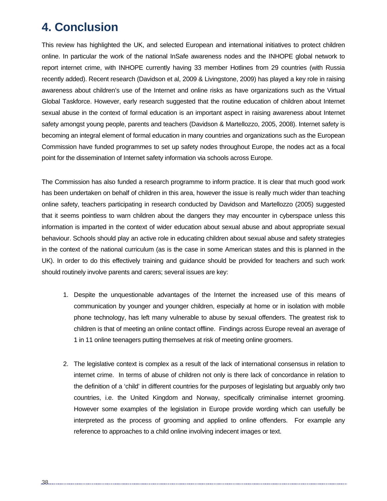## **4. Conclusion**

This review has highlighted the UK, and selected European and international initiatives to protect children online. In particular the work of the national InSafe awareness nodes and the INHOPE global network to report internet crime, with INHOPE currently having 33 member Hotlines from 29 countries (with Russia recently added). Recent research (Davidson et al, 2009 & Livingstone, 2009) has played a key role in raising awareness about children's use of the Internet and online risks as have organizations such as the Virtual Global Taskforce. However, early research suggested that the routine education of children about Internet sexual abuse in the context of formal education is an important aspect in raising awareness about Internet safety amongst young people, parents and teachers (Davidson & Martellozzo, 2005, 2008). Internet safety is becoming an integral element of formal education in many countries and organizations such as the European Commission have funded programmes to set up safety nodes throughout Europe, the nodes act as a focal point for the dissemination of Internet safety information via schools across Europe.

The Commission has also funded a research programme to inform practice. It is clear that much good work has been undertaken on behalf of children in this area, however the issue is really much wider than teaching online safety, teachers participating in research conducted by Davidson and Martellozzo (2005) suggested that it seems pointless to warn children about the dangers they may encounter in cyberspace unless this information is imparted in the context of wider education about sexual abuse and about appropriate sexual behaviour. Schools should play an active role in educating children about sexual abuse and safety strategies in the context of the national curriculum (as is the case in some American states and this is planned in the UK). In order to do this effectively training and guidance should be provided for teachers and such work should routinely involve parents and carers; several issues are key:

- 1. Despite the unquestionable advantages of the Internet the increased use of this means of communication by younger and younger children, especially at home or in isolation with mobile phone technology, has left many vulnerable to abuse by sexual offenders. The greatest risk to children is that of meeting an online contact offline. Findings across Europe reveal an average of 1 in 11 online teenagers putting themselves at risk of meeting online groomers.
- 2. The legislative context is complex as a result of the lack of international consensus in relation to internet crime. In terms of abuse of children not only is there lack of concordance in relation to the definition of a 'child' in different countries for the purposes of legislating but arguably only two countries, i.e. the United Kingdom and Norway, specifically criminalise internet grooming. However some examples of the legislation in Europe provide wording which can usefully be interpreted as the process of grooming and applied to online offenders. For example any reference to approaches to a child online involving indecent images or text.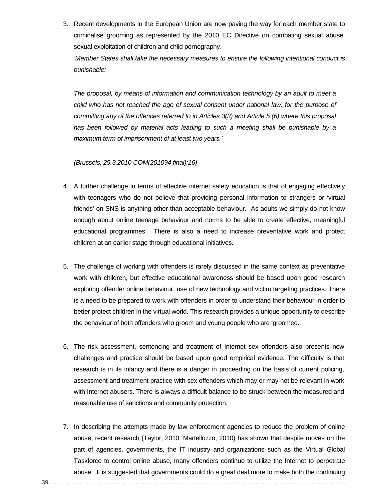3. Recent developments in the European Union are now paving the way for each member state to criminalise grooming as represented by the 2010 EC Directive on combating sexual abuse, sexual exploitation of children and child pornography.

*'Member States shall take the necessary measures to ensure the following intentional conduct is punishable:* 

*The proposal, by means of information and communication technology by an adult to meet a child who has not reached the age of sexual consent under national law, for the purpose of committing any of the offences referred to in Articles 3(3) and Article 5 (6) where this proposal has been followed by material acts leading to such a meeting shall be punishable by a maximum term of imprisonment of at least two years.'* 

*(Brussels, 29.3.2010 COM(201094 final):16)* 

- 4. A further challenge in terms of effective internet safety education is that of engaging effectively with teenagers who do not believe that providing personal information to strangers or 'virtual friends' on SNS is anything other than acceptable behaviour. As adults we simply do not know enough about online teenage behaviour and norms to be able to create effective, meaningful educational programmes. There is also a need to increase preventative work and protect children at an earlier stage through educational initiatives.
- 5. The challenge of working with offenders is rarely discussed in the same context as preventative work with children, but effective educational awareness should be based upon good research exploring offender online behaviour, use of new technology and victim targeting practices. There is a need to be prepared to work with offenders in order to understand their behaviour in order to better protect children in the virtual world. This research provides a unique opportunity to describe the behaviour of both offenders who groom and young people who are 'groomed.
- 6. The risk assessment, sentencing and treatment of Internet sex offenders also presents new challenges and practice should be based upon good empirical evidence. The difficulty is that research is in its infancy and there is a danger in proceeding on the basis of current policing, assessment and treatment practice with sex offenders which may or may not be relevant in work with Internet abusers. There is always a difficult balance to be struck between the measured and reasonable use of sanctions and community protection.
- 7. In describing the attempts made by law enforcement agencies to reduce the problem of online abuse, recent research (Taylor, 2010: Martellozzo, 2010) has shown that despite moves on the part of agencies, governments, the IT industry and organizations such as the Virtual Global Taskforce to control online abuse, many offenders continue to utilize the Internet to perpetrate abuse. It is suggested that governments could do a great deal more to make both the continuing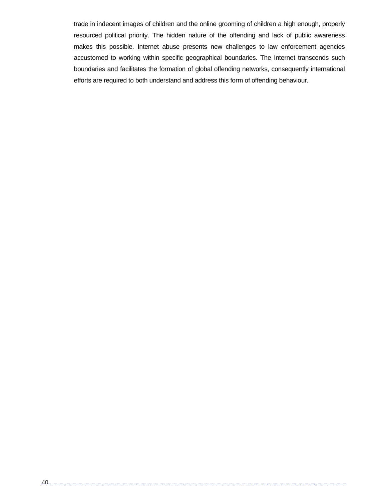trade in indecent images of children and the online grooming of children a high enough, properly resourced political priority. The hidden nature of the offending and lack of public awareness makes this possible. Internet abuse presents new challenges to law enforcement agencies accustomed to working within specific geographical boundaries. The Internet transcends such boundaries and facilitates the formation of global offending networks, consequently international efforts are required to both understand and address this form of offending behaviour.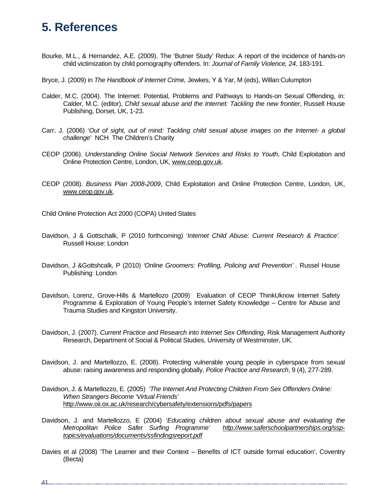## **5. References**

- Bourke, M.L., & Hernandez, A.E. (2009). The 'Butner Study' Redux: A report of the incidence of hands-on child victimization by child pornography offenders. In: *Journal of Family Violence, 24,* 183-191.
- Bryce, J. (2009) in *The Handbook of Internet Crime,* Jewkes, Y & Yar, M (eds), Willan:Culumpton
- Calder, M.C. (2004). The Internet: Potential, Problems and Pathways to Hands-on Sexual Offending, in: Calder, M.C. (editor), *Child sexual abuse and the Internet: Tackling the new frontier*, Russell House Publishing, Dorset, UK, 1-23.
- Carr, J. (2006) '*Out of sight, out of mind: Tackling child sexual abuse images on the Internet- a global challenge*' NCH The Children's Charity
- CEOP (2006). *Understanding Online Social Network Services and Risks to Youth*, Child Exploitation and Online Protection Centre, London, UK, www.ceop.gov.uk.
- CEOP (2008). *Business Plan 2008-2009*, Child Exploitation and Online Protection Centre, London, UK, www.ceop.gov.uk.

Child Online Protection Act 2000 (COPA) United States

- Davidson, J & Gottschalk, P (2010 forthcoming) '*Internet Child Abuse: Current Research & Practice'.*  Russell House: London
- Davidson, J &Gottshcalk, P (2010) *'Online Groomers: Profiling, Policing and Prevention' .* Russel House Publishing: London
- Davidson, Lorenz, Grove-Hills & Martellozo (2009) Evaluation of CEOP ThinkUknow Internet Safety Programme & Exploration of Young People's Internet Safety Knowledge – Centre for Abuse and Trauma Studies and Kingston University.
- Davidson, J. (2007). *Current Practice and Research into Internet Sex Offending*, Risk Management Authority Research, Department of Social & Political Studies, University of Westminster, UK.
- Davidson, J. and Martellozzo, E. (2008). Protecting vulnerable young people in cyberspace from sexual abuse: raising awareness and responding globally, *Police Practice and Research*, 9 (4), 277-289.
- Davidson, J. & Martellozzo, E. (2005) *'The Internet And Protecting Children From Sex Offenders Online: When Strangers Become 'Virtual Friends'*  http://www.oii.ox.ac.uk/research/cybersafety/extensions/pdfs/papers
- Davidson, J. and Martellozzo, E (2004) '*Educating children about sexual abuse and evaluating the Metropolitan Police Safer Surfing Programme' http://www.saferschoolpartnerships.org/ssptopics/evaluations/documents/ssfindingsreport.pdf*
- Davies et al (2008) 'The Learner and their Context Benefits of ICT outside formal education', Coventry (Becta)

41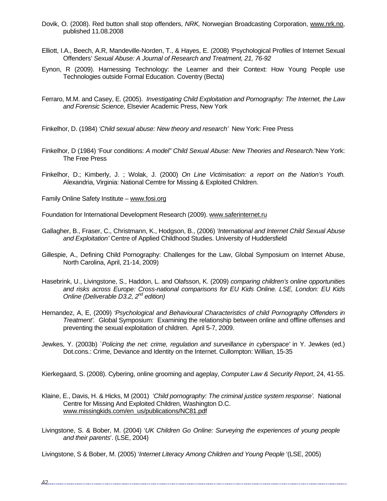- Dovik, O. (2008). Red button shall stop offenders, *NRK,* Norwegian Broadcasting Corporation, www.nrk.no, published 11.08.2008
- Elliott, I.A., Beech, A.R, Mandeville-Norden, T., & Hayes, E. (2008) 'Psychological Profiles of Internet Sexual Offenders' *Sexual Abuse: A Journal of Research and Treatment, 21, 76-92*
- Eynon, R (2009). Harnessing Technology: the Learner and their Context: How Young People use Technologies outside Formal Education. Coventry (Becta)
- Ferraro, M.M. and Casey, E. (2005). *Investigating Child Exploitation and Pornography: The Internet, the Law and Forensic Science,* Elsevier Academic Press, New York

Finkelhor, D. (1984) *'Child sexual abuse: New theory and research'* New York: Free Press

- Finkelhor, D (1984) 'Four conditions: *A model" Child Sexual Abuse: New Theories and Research.*'New York: The Free Press
- Finkelhor, D.; Kimberly, J. ; Wolak, J. (2000) *On Line Victimisation: a report on the Nation's Youth.* Alexandria, Virginia: National Cemtre for Missing & Exploited Children.
- Family Online Safety Institute www.fosi.org

Foundation for International Development Research (2009). www.saferinternet.ru

- Gallagher, B., Fraser, C., Christmann, K., Hodgson, B., (2006) *'International and Internet Child Sexual Abuse and Exploitation'* Centre of Applied Childhood Studies. University of Huddersfield
- Gillespie, A., Defining Child Pornography: Challenges for the Law, Global Symposium on Internet Abuse, North Carolina, April, 21-14, 2009)
- Hasebrink, U., Livingstone, S., Haddon, L. and Olafsson, K. (2009) *comparing children's online opportunities and risks across Europe: Cross-national comparisons for EU Kids Online. LSE, London: EU Kids Online (Deliverable D3.2, 2nd edition)*
- Hernandez, A, E, (2009) *'Psychological and Behavioural Characteristics of child Pornography Offenders in Treatment'.* Global Symposium: Examining the relationship between online and offline offenses and preventing the sexual exploitation of children. April 5-7, 2009.
- Jewkes, Y. (2003b) `*Policing the net: crime, regulation and surveillance in cyberspace'* in Y. Jewkes (ed.) Dot.cons.: Crime, Deviance and Identity on the Internet. Cullompton: Willian, 15-35

Kierkegaard, S. (2008). Cybering, online grooming and ageplay, *Computer Law & Security Report*, 24, 41-55.

- Klaine, E., Davis, H. & Hicks, M (2001) *'Child pornography: The criminal justice system response'.* National Centre for Missing And Exploited Children, Washington D.C. www.missingkids.com/en\_us/publications/NC81.pdf
- Livingstone, S. & Bober, M. (2004) '*UK Children Go Online: Surveying the experiences of young people and their parents*'. (LSE, 2004)

Livingstone, S & Bober, M. (2005) '*Internet Literacy Among Children and Young People* '(LSE, 2005)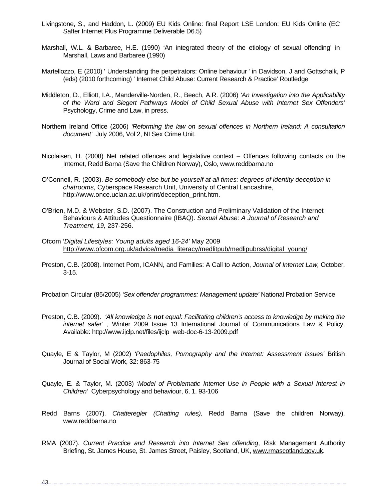- Livingstone, S., and Haddon, L. (2009) EU Kids Online: final Report LSE London: EU Kids Online (EC Safter Internet Plus Programme Deliverable D6.5)
- Marshall, W.L. & Barbaree, H.E. (1990) 'An integrated theory of the etiology of sexual offending' in Marshall, Laws and Barbaree (1990)
- Martellozzo, E (2010) ' Understanding the perpetrators: Online behaviour ' in Davidson, J and Gottschalk, P (eds) (2010 forthcoming) ' Internet Child Abuse: Current Research & Practice' Routledge
- Middleton, D., Elliott, I.A., Manderville-Norden, R., Beech, A.R. (2006) *'An Investigation into the Applicability of the Ward and Siegert Pathways Model of Child Sexual Abuse with Internet Sex Offenders'* Psychology, Crime and Law, in press.
- Northern Ireland Office (2006) *'Reforming the law on sexual offences in Northern Ireland: A consultation document'* July 2006, Vol 2, NI Sex Crime Unit.
- Nicolaisen, H. (2008) Net related offences and legislative context Offences following contacts on the Internet, Redd Barna (Save the Children Norway), Oslo, www.reddbarna.no
- O'Connell, R. (2003). *Be somebody else but be yourself at all times: degrees of identity deception in chatrooms*, Cyberspace Research Unit, University of Central Lancashire, http://www.once.uclan.ac.uk/print/deception\_print.htm.
- O'Brien, M.D. & Webster, S.D. (2007). The Construction and Preliminary Validation of the Internet Behaviours & Attitudes Questionnaire (IBAQ). *Sexual Abuse: A Journal of Research and Treatment*, *19,* 237-256.
- Ofcom '*Digital Lifestyles: Young adults aged 16-24'* May 2009 http://www.ofcom.org.uk/advice/media\_literacy/medlitpub/medlipubrss/digital\_young/
- Preston, C.B. (2008). Internet Porn, ICANN, and Families: A Call to Action, *Journal of Internet Law,* October, 3-15.

Probation Circular (85/2005) *'Sex offender programmes: Management update'* National Probation Service

- Preston, C.B. (2009). *'All knowledge is not equal: Facilitating children's access to knowledge by making the internet safer' ,* Winter 2009 Issue 13 International Journal of Communications Law & Policy. Available: http://www.ijclp.net/files/ijclp\_web-doc-6-13-2009.pdf
- Quayle, E & Taylor, M (2002) *'Paedophiles, Pornography and the Internet: Assessment Issues'* British Journal of Social Work, 32: 863-75
- Quayle, E. & Taylor, M. (2003) *'Model of Problematic Internet Use in People with a Sexual Interest in Children'* Cyberpsychology and behaviour, 6, 1. 93-106
- Redd Barns (2007). *Chatteregler (Chatting rules),* Redd Barna (Save the children Norway), www.reddbarna.no
- RMA (2007). *Current Practice and Research into Internet Sex offending*, Risk Management Authority Briefing, St. James House, St. James Street, Paisley, Scotland, UK, www.rmascotland.gov.uk.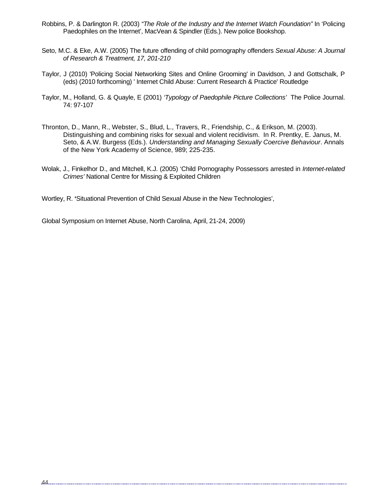- Robbins, P. & Darlington R. (2003) *"The Role of the Industry and the Internet Watch Foundation"* In 'Policing Paedophiles on the Internet', MacVean & Spindler (Eds.). New police Bookshop.
- Seto, M.C. & Eke, A.W. (2005) The future offending of child pornography offenders *Sexual Abuse: A Journal of Research & Treatment, 17, 201-210*
- Taylor, J (2010) 'Policing Social Networking Sites and Online Grooming' in Davidson, J and Gottschalk, P (eds) (2010 forthcoming) ' Internet Child Abuse: Current Research & Practice' Routledge
- Taylor, M., Holland, G. & Quayle, E (2001) *'Typology of Paedophile Picture Collections'* The Police Journal. 74: 97-107
- Thronton, D., Mann, R., Webster, S., Blud, L., Travers, R., Friendship, C., & Erikson, M. (2003). Distinguishing and combining risks for sexual and violent recidivism. In R. Prentky, E. Janus, M. Seto, & A.W. Burgess (Eds.). *Understanding and Managing Sexually Coercive Behaviour*. Annals of the New York Academy of Science, 989; 225-235.
- Wolak, J., Finkelhor D., and Mitchell, K.J. (2005) 'Child Pornography Possessors arrested in *Internet-related Crimes'* National Centre for Missing & Exploited Children

Wortley, R. **'**Situational Prevention of Child Sexual Abuse in the New Technologies',

Global Symposium on Internet Abuse, North Carolina, April, 21-24, 2009)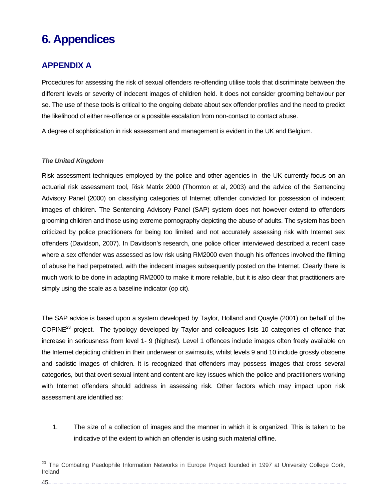# **6. Appendices**

## **APPENDIX A**

Procedures for assessing the risk of sexual offenders re-offending utilise tools that discriminate between the different levels or severity of indecent images of children held. It does not consider grooming behaviour per se. The use of these tools is critical to the ongoing debate about sex offender profiles and the need to predict the likelihood of either re-offence or a possible escalation from non-contact to contact abuse.

A degree of sophistication in risk assessment and management is evident in the UK and Belgium.

### *The United Kingdom*

Risk assessment techniques employed by the police and other agencies in the UK currently focus on an actuarial risk assessment tool, Risk Matrix 2000 (Thornton et al, 2003) and the advice of the Sentencing Advisory Panel (2000) on classifying categories of Internet offender convicted for possession of indecent images of children. The Sentencing Advisory Panel (SAP) system does not however extend to offenders grooming children and those using extreme pornography depicting the abuse of adults. The system has been criticized by police practitioners for being too limited and not accurately assessing risk with Internet sex offenders (Davidson, 2007). In Davidson's research, one police officer interviewed described a recent case where a sex offender was assessed as low risk using RM2000 even though his offences involved the filming of abuse he had perpetrated, with the indecent images subsequently posted on the Internet. Clearly there is much work to be done in adapting RM2000 to make it more reliable, but it is also clear that practitioners are simply using the scale as a baseline indicator (op cit).

The SAP advice is based upon a system developed by Taylor, Holland and Quayle (2001) on behalf of the COPINE23 project. The typology developed by Taylor and colleagues lists 10 categories of offence that increase in seriousness from level 1- 9 (highest). Level 1 offences include images often freely available on the Internet depicting children in their underwear or swimsuits, whilst levels 9 and 10 include grossly obscene and sadistic images of children. It is recognized that offenders may possess images that cross several categories, but that overt sexual intent and content are key issues which the police and practitioners working with Internet offenders should address in assessing risk. Other factors which may impact upon risk assessment are identified as:

1. The size of a collection of images and the manner in which it is organized. This is taken to be indicative of the extent to which an offender is using such material offline.

.45........

<sup>&</sup>lt;sup>23</sup> The Combating Paedophile Information Networks in Europe Project founded in 1997 at University College Cork, Ireland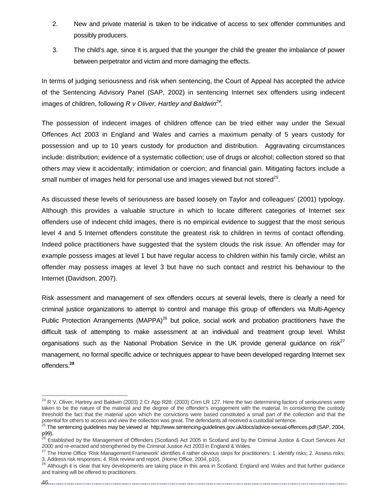- 2. New and private material is taken to be indicative of access to sex offender communities and possibly producers.
- 3. The child's age, since it is argued that the younger the child the greater the imbalance of power between perpetrator and victim and more damaging the effects.

In terms of judging seriousness and risk when sentencing, the Court of Appeal has accepted the advice of the Sentencing Advisory Panel (SAP, 2002) in sentencing Internet sex offenders using indecent images of children, following *R v Oliver, Hartley and Baldwin24.* 

The possession of indecent images of children offence can be tried either way under the Sexual Offences Act 2003 in England and Wales and carries a maximum penalty of 5 years custody for possession and up to 10 years custody for production and distribution. Aggravating circumstances include: distribution; evidence of a systematic collection; use of drugs or alcohol; collection stored so that others may view it accidentally; intimidation or coercion; and financial gain. Mitigating factors include a small number of images held for personal use and images viewed but not stored<sup>25</sup>.

As discussed these levels of seriousness are based loosely on Taylor and colleagues' (2001) typology. Although this provides a valuable structure in which to locate different categories of Internet sex offenders use of indecent child images, there is no empirical evidence to suggest that the most serious level 4 and 5 Internet offenders constitute the greatest risk to children in terms of contact offending. Indeed police practitioners have suggested that the system clouds the risk issue. An offender may for example possess images at level 1 but have regular access to children within his family circle, whilst an offender may possess images at level 3 but have no such contact and restrict his behaviour to the Internet (Davidson, 2007).

Risk assessment and management of sex offenders occurs at several levels, there is clearly a need for criminal justice organizations to attempt to control and manage this group of offenders via Multi-Agency Public Protection Arrangements (MAPPA)<sup>26</sup> but police, social work and probation practitioners have the difficult task of attempting to make assessment at an individual and treatment group level. Whilst organisations such as the National Probation Service in the UK provide general guidance on risk<sup>27</sup> management, no formal specific advice or techniques appear to have been developed regarding Internet sex offenders.**<sup>28</sup>**

 $24$  R V. Oliver, Hartrey and Baldwin (2003) 2 Cr App R28: (2003) Crim LR 127. Here the two determining factors of seriousness were taken to be the nature of the material and the degree of the offender's engagement with the material. In considering the custody threshold the fact that the material upon which the convictions were based constituted a small part of the collection and that the potential for others to access and view the collection was great. The defendants all received a custodial sentence.

<sup>&</sup>lt;sup>25</sup> The sentencing guidelines may be viewed at http;//www.sentencing-guidelines.gov.uk/docs/advice-sexual-offences.pdf (SAP, 2004, p99).

<sup>&</sup>lt;sup>26</sup> Established by the Management of Offenders (Scotland) Act 2005 in Scotland and by the Criminal Justice & Court Services Act 2000 and re-enacted and strengthened by the Criminal Justice Act 2003 in England & Wales.

 $^{27}$  The Home Office 'Risk Management Framework' identifies 4 rather obvious steps for practitioners: 1. identify risks; 2. Assess risks; 3. Address risk responses; 4. Risk review and report. (Home Office, 2004, p10).

<sup>&</sup>lt;sup>28</sup> Although it is clear that key developments are taking place in this area in Scotland, England and Wales and that further guidance and training will be offered to practitioners.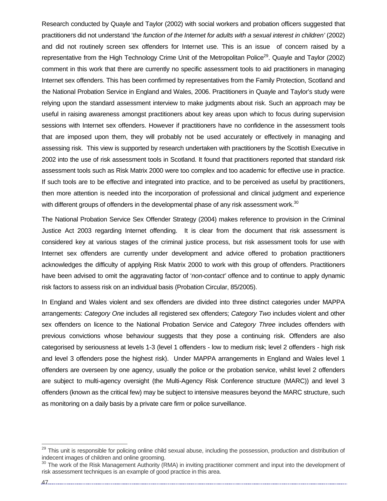Research conducted by Quayle and Taylor (2002) with social workers and probation officers suggested that practitioners did not understand '*the function of the Internet for adults with a sexual interest in children'* (2002) and did not routinely screen sex offenders for Internet use. This is an issue of concern raised by a representative from the High Technology Crime Unit of the Metropolitan Police<sup>29</sup>. Quayle and Taylor (2002) comment in this work that there are currently no specific assessment tools to aid practitioners in managing Internet sex offenders. This has been confirmed by representatives from the Family Protection, Scotland and the National Probation Service in England and Wales, 2006. Practitioners in Quayle and Taylor's study were relying upon the standard assessment interview to make judgments about risk. Such an approach may be useful in raising awareness amongst practitioners about key areas upon which to focus during supervision sessions with Internet sex offenders. However if practitioners have no confidence in the assessment tools that are imposed upon them, they will probably not be used accurately or effectively in managing and assessing risk. This view is supported by research undertaken with practitioners by the Scottish Executive in 2002 into the use of risk assessment tools in Scotland. It found that practitioners reported that standard risk assessment tools such as Risk Matrix 2000 were too complex and too academic for effective use in practice. If such tools are to be effective and integrated into practice, and to be perceived as useful by practitioners, then more attention is needed into the incorporation of professional and clinical judgment and experience with different groups of offenders in the developmental phase of any risk assessment work.<sup>30</sup>

The National Probation Service Sex Offender Strategy (2004) makes reference to provision in the Criminal Justice Act 2003 regarding Internet offending. It is clear from the document that risk assessment is considered key at various stages of the criminal justice process, but risk assessment tools for use with Internet sex offenders are currently under development and advice offered to probation practitioners acknowledges the difficulty of applying Risk Matrix 2000 to work with this group of offenders. Practitioners have been advised to omit the aggravating factor of '*non-contact'* offence and to continue to apply dynamic risk factors to assess risk on an individual basis (Probation Circular, 85/2005).

In England and Wales violent and sex offenders are divided into three distinct categories under MAPPA arrangements: *Category One* includes all registered sex offenders; *Category Two* includes violent and other sex offenders on licence to the National Probation Service and *Category Three* includes offenders with previous convictions whose behaviour suggests that they pose a continuing risk. Offenders are also categorised by seriousness at levels 1-3 (level 1 offenders - low to medium risk; level 2 offenders - high risk and level 3 offenders pose the highest risk). Under MAPPA arrangements in England and Wales level 1 offenders are overseen by one agency, usually the police or the probation service, whilst level 2 offenders are subject to multi-agency oversight (the Multi-Agency Risk Conference structure (MARC)) and level 3 offenders (known as the critical few) may be subject to intensive measures beyond the MARC structure, such as monitoring on a daily basis by a private care firm or police surveillance.

47

<sup>&</sup>lt;sup>29</sup> This unit is responsible for policing online child sexual abuse, including the possession, production and distribution of indecent images of children and online grooming.

<sup>&</sup>lt;sup>30</sup> The work of the Risk Management Authority (RMA) in inviting practitioner comment and input into the development of risk assessment techniques is an example of good practice in this area.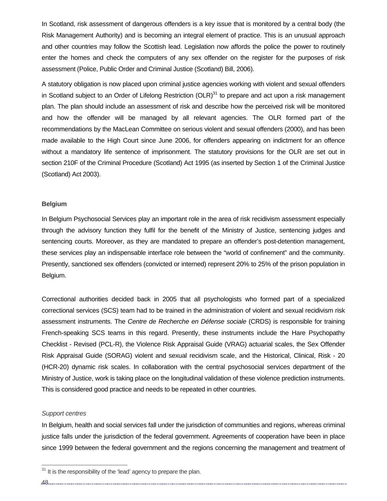In Scotland, risk assessment of dangerous offenders is a key issue that is monitored by a central body (the Risk Management Authority) and is becoming an integral element of practice. This is an unusual approach and other countries may follow the Scottish lead. Legislation now affords the police the power to routinely enter the homes and check the computers of any sex offender on the register for the purposes of risk assessment (Police, Public Order and Criminal Justice (Scotland) Bill, 2006).

A statutory obligation is now placed upon criminal justice agencies working with violent and sexual offenders in Scotland subject to an Order of Lifelong Restriction  $(OLR)^{31}$  to prepare and act upon a risk management plan. The plan should include an assessment of risk and describe how the perceived risk will be monitored and how the offender will be managed by all relevant agencies. The OLR formed part of the recommendations by the MacLean Committee on serious violent and sexual offenders (2000), and has been made available to the High Court since June 2006, for offenders appearing on indictment for an offence without a mandatory life sentence of imprisonment. The statutory provisions for the OLR are set out in section 210F of the Criminal Procedure (Scotland) Act 1995 (as inserted by Section 1 of the Criminal Justice (Scotland) Act 2003).

#### **Belgium**

In Belgium Psychosocial Services play an important role in the area of risk recidivism assessment especially through the advisory function they fulfil for the benefit of the Ministry of Justice, sentencing judges and sentencing courts. Moreover, as they are mandated to prepare an offender's post-detention management, these services play an indispensable interface role between the "world of confinement" and the community. Presently, sanctioned sex offenders (convicted or interned) represent 20% to 25% of the prison population in Belgium.

Correctional authorities decided back in 2005 that all psychologists who formed part of a specialized correctional services (SCS) team had to be trained in the administration of violent and sexual recidivism risk assessment instruments. The *Centre de Recherche en Défense sociale* (CRDS) is responsible for training French-speaking SCS teams in this regard. Presently, these instruments include the Hare Psychopathy Checklist - Revised (PCL-R), the Violence Risk Appraisal Guide (VRAG) actuarial scales, the Sex Offender Risk Appraisal Guide (SORAG) violent and sexual recidivism scale, and the Historical, Clinical, Risk - 20 (HCR-20) dynamic risk scales. In collaboration with the central psychosocial services department of the Ministry of Justice, work is taking place on the longitudinal validation of these violence prediction instruments. This is considered good practice and needs to be repeated in other countries.

#### *Support centres*

In Belgium, health and social services fall under the jurisdiction of communities and regions, whereas criminal justice falls under the jurisdiction of the federal government. Agreements of cooperation have been in place since 1999 between the federal government and the regions concerning the management and treatment of

 $31$  It is the responsibility of the 'lead' agency to prepare the plan.

48.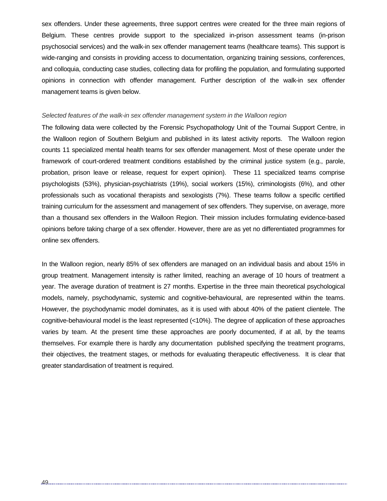sex offenders. Under these agreements, three support centres were created for the three main regions of Belgium. These centres provide support to the specialized in-prison assessment teams (in-prison psychosocial services) and the walk-in sex offender management teams (healthcare teams). This support is wide-ranging and consists in providing access to documentation, organizing training sessions, conferences, and colloquia, conducting case studies, collecting data for profiling the population, and formulating supported opinions in connection with offender management. Further description of the walk-in sex offender management teams is given below.

#### *Selected features of the walk-in sex offender management system in the Walloon region*

The following data were collected by the Forensic Psychopathology Unit of the Tournai Support Centre, in the Walloon region of Southern Belgium and published in its latest activity reports. The Walloon region counts 11 specialized mental health teams for sex offender management. Most of these operate under the framework of court-ordered treatment conditions established by the criminal justice system (e.g., parole, probation, prison leave or release, request for expert opinion). These 11 specialized teams comprise psychologists (53%), physician-psychiatrists (19%), social workers (15%), criminologists (6%), and other professionals such as vocational therapists and sexologists (7%). These teams follow a specific certified training curriculum for the assessment and management of sex offenders. They supervise, on average, more than a thousand sex offenders in the Walloon Region. Their mission includes formulating evidence-based opinions before taking charge of a sex offender. However, there are as yet no differentiated programmes for online sex offenders.

In the Walloon region, nearly 85% of sex offenders are managed on an individual basis and about 15% in group treatment. Management intensity is rather limited, reaching an average of 10 hours of treatment a year. The average duration of treatment is 27 months. Expertise in the three main theoretical psychological models, namely, psychodynamic, systemic and cognitive-behavioural, are represented within the teams. However, the psychodynamic model dominates, as it is used with about 40% of the patient clientele. The cognitive-behavioural model is the least represented (<10%). The degree of application of these approaches varies by team. At the present time these approaches are poorly documented, if at all, by the teams themselves. For example there is hardly any documentation published specifying the treatment programs, their objectives, the treatment stages, or methods for evaluating therapeutic effectiveness. It is clear that greater standardisation of treatment is required.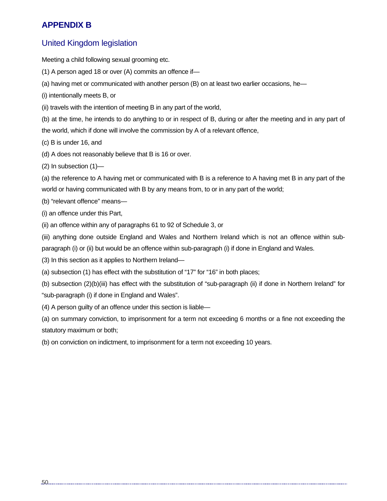## **APPENDIX B**

## United Kingdom legislation

Meeting a child following sexual grooming etc.

- (1) A person aged 18 or over (A) commits an offence if—
- (a) having met or communicated with another person (B) on at least two earlier occasions, he—
- (i) intentionally meets B, or
- (ii) travels with the intention of meeting B in any part of the world,

(b) at the time, he intends to do anything to or in respect of B, during or after the meeting and in any part of the world, which if done will involve the commission by A of a relevant offence,

- (c) B is under 16, and
- (d) A does not reasonably believe that B is 16 or over.
- (2) In subsection (1)—

(a) the reference to A having met or communicated with B is a reference to A having met B in any part of the world or having communicated with B by any means from, to or in any part of the world;

- (b) "relevant offence" means—
- (i) an offence under this Part,
- (ii) an offence within any of paragraphs 61 to 92 of Schedule 3, or

(iii) anything done outside England and Wales and Northern Ireland which is not an offence within subparagraph (i) or (ii) but would be an offence within sub-paragraph (i) if done in England and Wales.

- (3) In this section as it applies to Northern Ireland—
- (a) subsection (1) has effect with the substitution of "17" for "16" in both places;
- (b) subsection (2)(b)(iii) has effect with the substitution of "sub-paragraph (ii) if done in Northern Ireland" for "sub-paragraph (i) if done in England and Wales".
- (4) A person guilty of an offence under this section is liable—

(a) on summary conviction, to imprisonment for a term not exceeding 6 months or a fine not exceeding the statutory maximum or both;

(b) on conviction on indictment, to imprisonment for a term not exceeding 10 years.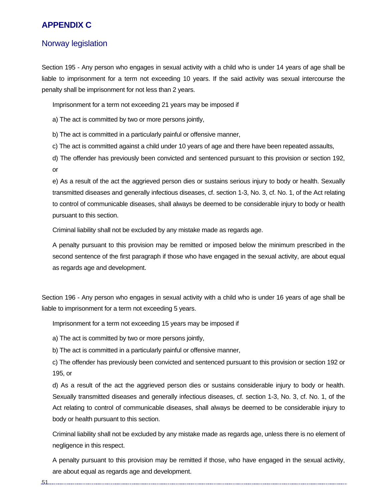## **APPENDIX C**

## Norway legislation

Section 195 - Any person who engages in sexual activity with a child who is under 14 years of age shall be liable to imprisonment for a term not exceeding 10 years. If the said activity was sexual intercourse the penalty shall be imprisonment for not less than 2 years.

Imprisonment for a term not exceeding 21 years may be imposed if

a) The act is committed by two or more persons jointly,

b) The act is committed in a particularly painful or offensive manner,

c) The act is committed against a child under 10 years of age and there have been repeated assaults,

d) The offender has previously been convicted and sentenced pursuant to this provision or section 192, or

e) As a result of the act the aggrieved person dies or sustains serious injury to body or health. Sexually transmitted diseases and generally infectious diseases, cf. section 1-3, No. 3, cf. No. 1, of the Act relating to control of communicable diseases, shall always be deemed to be considerable injury to body or health pursuant to this section.

Criminal liability shall not be excluded by any mistake made as regards age.

A penalty pursuant to this provision may be remitted or imposed below the minimum prescribed in the second sentence of the first paragraph if those who have engaged in the sexual activity, are about equal as regards age and development.

Section 196 - Any person who engages in sexual activity with a child who is under 16 years of age shall be liable to imprisonment for a term not exceeding 5 years.

Imprisonment for a term not exceeding 15 years may be imposed if

a) The act is committed by two or more persons jointly,

b) The act is committed in a particularly painful or offensive manner,

c) The offender has previously been convicted and sentenced pursuant to this provision or section 192 or 195, or

d) As a result of the act the aggrieved person dies or sustains considerable injury to body or health. Sexually transmitted diseases and generally infectious diseases, cf. section 1-3, No. 3, cf. No. 1, of the Act relating to control of communicable diseases, shall always be deemed to be considerable injury to body or health pursuant to this section.

Criminal liability shall not be excluded by any mistake made as regards age, unless there is no element of negligence in this respect.

A penalty pursuant to this provision may be remitted if those, who have engaged in the sexual activity, are about equal as regards age and development.